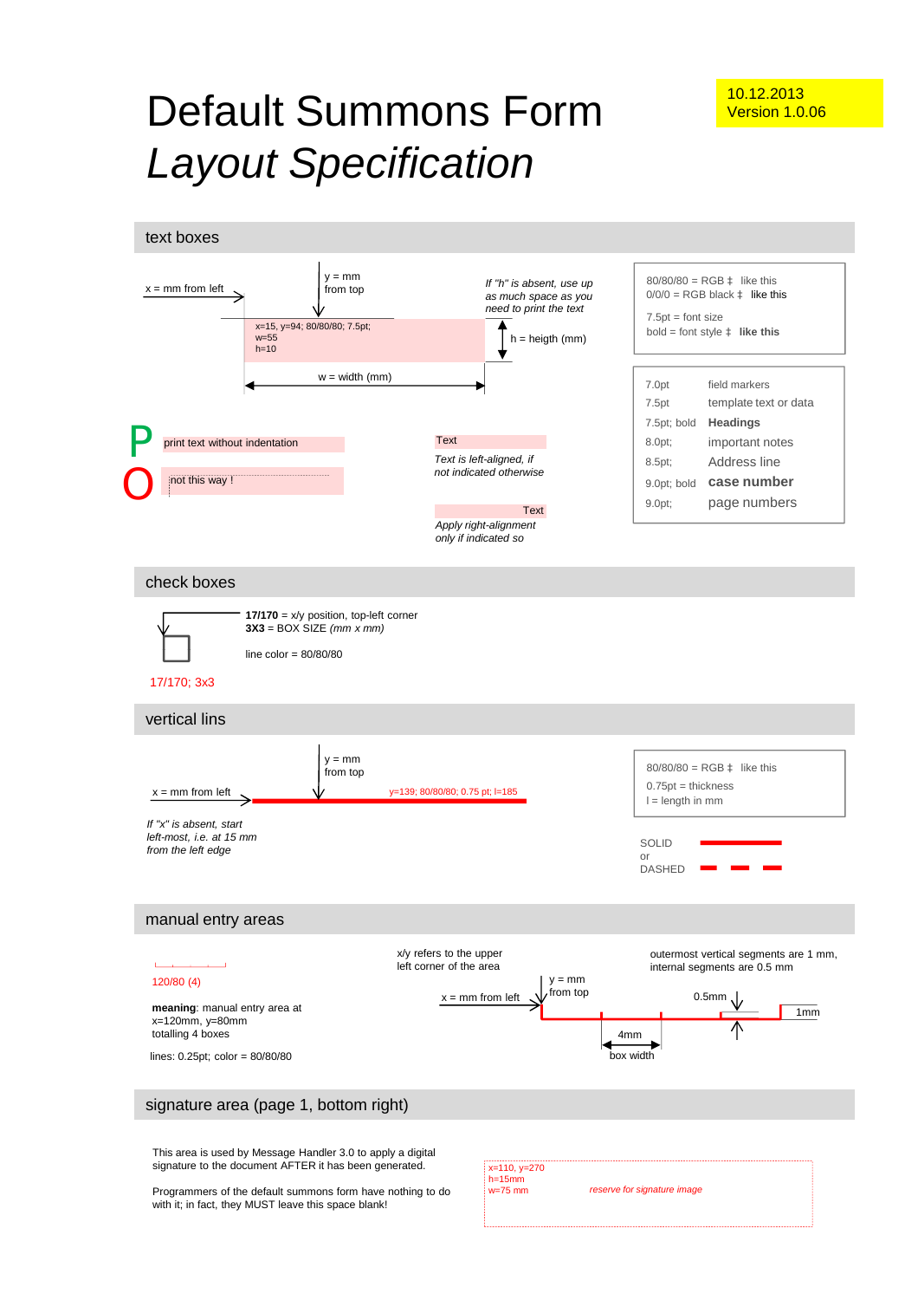# Default Summons Form *Layout Specification*

text boxes



This area is used by Message Handler 3.0 to apply a digital signature to the document AFTER it has been generated.

Programmers of the default summons form have nothing to do with it; in fact, they MUST leave this space blank!

|--|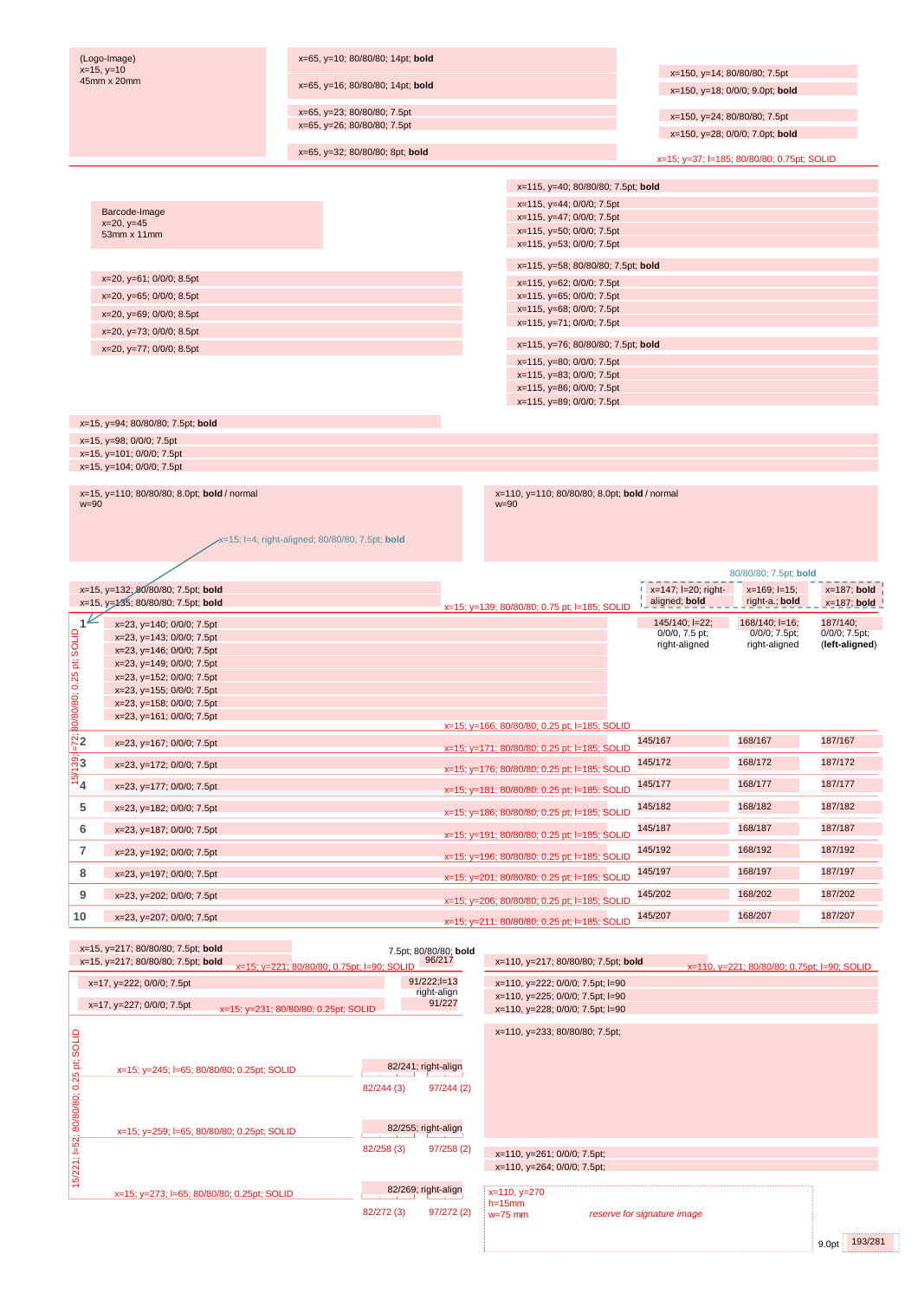|                                               | (Logo-Image)<br>$x=15, y=10$                                      | x=65, y=10; 80/80/80; 14pt; bold                |                       |                                                                      |                                      |                                             |                           |
|-----------------------------------------------|-------------------------------------------------------------------|-------------------------------------------------|-----------------------|----------------------------------------------------------------------|--------------------------------------|---------------------------------------------|---------------------------|
|                                               | 45mm x 20mm                                                       | x=65, y=16; 80/80/80; 14pt; bold                |                       |                                                                      | x=150, y=14; 80/80/80; 7.5pt         |                                             |                           |
|                                               |                                                                   |                                                 |                       |                                                                      |                                      | x=150, y=18; 0/0/0; 9.0pt; bold             |                           |
|                                               |                                                                   | x=65, y=23; 80/80/80; 7.5pt                     |                       |                                                                      | x=150, y=24; 80/80/80; 7.5pt         |                                             |                           |
|                                               |                                                                   | x=65, y=26; 80/80/80; 7.5pt                     |                       |                                                                      | x=150, y=28; 0/0/0; 7.0pt; bold      |                                             |                           |
|                                               |                                                                   | x=65, y=32; 80/80/80; 8pt; bold                 |                       |                                                                      |                                      | x=15; y=37; l=185; 80/80/80; 0.75pt; SOLID  |                           |
|                                               |                                                                   |                                                 |                       |                                                                      |                                      |                                             |                           |
|                                               |                                                                   |                                                 |                       | x=115, y=40; 80/80/80; 7.5pt; bold                                   |                                      |                                             |                           |
|                                               | Barcode-Image                                                     |                                                 |                       | x=115, y=44; 0/0/0; 7.5pt                                            |                                      |                                             |                           |
|                                               | $x=20, y=45$                                                      |                                                 |                       | x=115, y=47; 0/0/0; 7.5pt<br>x=115, y=50; 0/0/0; 7.5pt               |                                      |                                             |                           |
|                                               | 53mm x 11mm                                                       |                                                 |                       | x=115, y=53; 0/0/0; 7.5pt                                            |                                      |                                             |                           |
|                                               |                                                                   |                                                 |                       | x=115, y=58; 80/80/80; 7.5pt; bold                                   |                                      |                                             |                           |
|                                               | x=20, y=61; 0/0/0; 8.5pt                                          |                                                 |                       | x=115, y=62; 0/0/0; 7.5pt                                            |                                      |                                             |                           |
|                                               | x=20, y=65; 0/0/0; 8.5pt                                          |                                                 |                       | x=115, y=65; 0/0/0; 7.5pt                                            |                                      |                                             |                           |
|                                               | x=20, y=69; 0/0/0; 8.5pt                                          |                                                 |                       | x=115, y=68; 0/0/0; 7.5pt<br>x=115, y=71; 0/0/0; 7.5pt               |                                      |                                             |                           |
|                                               | x=20, y=73; 0/0/0; 8.5pt                                          |                                                 |                       |                                                                      |                                      |                                             |                           |
|                                               | x=20, y=77; 0/0/0; 8.5pt                                          |                                                 |                       | x=115, y=76; 80/80/80; 7.5pt; bold                                   |                                      |                                             |                           |
|                                               |                                                                   |                                                 |                       | x=115, y=80; 0/0/0; 7.5pt<br>x=115, y=83; 0/0/0; 7.5pt               |                                      |                                             |                           |
|                                               |                                                                   |                                                 |                       | x=115, y=86; 0/0/0; 7.5pt                                            |                                      |                                             |                           |
|                                               |                                                                   |                                                 |                       | x=115, y=89; 0/0/0; 7.5pt                                            |                                      |                                             |                           |
|                                               | x=15, y=94; 80/80/80; 7.5pt; bold                                 |                                                 |                       |                                                                      |                                      |                                             |                           |
|                                               | x=15, y=98; 0/0/0; 7.5pt                                          |                                                 |                       |                                                                      |                                      |                                             |                           |
|                                               | x=15, y=101; 0/0/0; 7.5pt<br>x=15, y=104; 0/0/0; 7.5pt            |                                                 |                       |                                                                      |                                      |                                             |                           |
|                                               |                                                                   |                                                 |                       |                                                                      |                                      |                                             |                           |
| $w = 90$                                      | x=15, y=110; 80/80/80; 8.0pt; bold / normal                       |                                                 |                       | x=110, y=110; 80/80/80; 8.0pt; bold / normal<br>$w = 90$             |                                      |                                             |                           |
|                                               |                                                                   |                                                 |                       |                                                                      |                                      |                                             |                           |
|                                               |                                                                   | x=15; l=4; right-aligned; 80/80/80; 7.5pt; bold |                       |                                                                      |                                      |                                             |                           |
|                                               |                                                                   |                                                 |                       |                                                                      |                                      |                                             |                           |
|                                               |                                                                   |                                                 |                       |                                                                      |                                      | 80/80/80; 7.5pt; bold                       |                           |
|                                               | x=15, y=132; 80/80/80; 7.5pt; bold                                |                                                 |                       |                                                                      | x=147; l=20; right-<br>aligned; bold | $x=169$ ; $I=15$ ;                          | $x=187$ ; bold            |
|                                               | x=15, y=135; 80/80/80; 7.5pt; bold                                |                                                 |                       |                                                                      |                                      | right-a.; bold                              | $x=187$ ; bold            |
|                                               |                                                                   |                                                 |                       | x=15; y=139; 80/80/80; 0.75 pt; l=185; SOLID                         |                                      |                                             |                           |
| 1 <sup>k</sup>                                | x=23, y=140; 0/0/0; 7.5pt                                         |                                                 |                       |                                                                      | 145/140; l=22;<br>$0/0/0$ , 7.5 pt;  | 168/140; l=16;                              | 187/140;<br>0/0/0; 7.5pt; |
|                                               | x=23, y=143; 0/0/0; 7.5pt<br>$x=23$ , $y=146$ ; $0/0/0$ ; 7.5pt   |                                                 |                       |                                                                      | right-aligned                        | 0/0/0; 7.5pt;<br>right-aligned              | (left-aligned)            |
|                                               | x=23, y=149; 0/0/0; 7.5pt                                         |                                                 |                       |                                                                      |                                      |                                             |                           |
|                                               | x=23, y=152; 0/0/0; 7.5pt                                         |                                                 |                       |                                                                      |                                      |                                             |                           |
|                                               | x=23, y=155; 0/0/0; 7.5pt<br>x=23, y=158; 0/0/0; 7.5pt            |                                                 |                       |                                                                      |                                      |                                             |                           |
|                                               | x=23, y=161; 0/0/0; 7.5pt                                         |                                                 |                       | x=15; y=166; 80/80/80; 0.25 pt; l=185; SOLID                         |                                      |                                             |                           |
| 80/80/80; 0.25 pt; SOLID<br>$\ddot{\aleph}_2$ | x=23, y=167; 0/0/0; 7.5pt                                         |                                                 |                       |                                                                      | 145/167                              | 168/167                                     | 187/167                   |
|                                               |                                                                   |                                                 |                       | x=15; y=171; 80/80/80; 0.25 pt; l=185; SOLID                         | 145/172                              | 168/172                                     | 187/172                   |
| တ်<br>ကိ<br>ഥ                                 | x=23, y=172; 0/0/0; 7.5pt                                         |                                                 |                       | x=15; y=176; 80/80/80; 0.25 pt; l=185; SOLID                         |                                      |                                             |                           |
| ΄4                                            | x=23, y=177; 0/0/0; 7.5pt                                         |                                                 |                       | x=15; y=181; 80/80/80; 0.25 pt; l=185; SOLID                         | 145/177                              | 168/177                                     | 187/177                   |
| 5                                             | x=23, y=182; 0/0/0; 7.5pt                                         |                                                 |                       | x=15; y=186; 80/80/80; 0.25 pt; l=185; SOLID                         | 145/182                              | 168/182                                     | 187/182                   |
| 6                                             | x=23, y=187; 0/0/0; 7.5pt                                         |                                                 |                       | x=15; y=191; 80/80/80; 0.25 pt; l=185; SOLID                         | 145/187                              | 168/187                                     | 187/187                   |
| 7                                             | x=23, y=192; 0/0/0; 7.5pt                                         |                                                 |                       | x=15; y=196; 80/80/80; 0.25 pt; l=185; SOLID                         | 145/192                              | 168/192                                     | 187/192                   |
| 8                                             | x=23, y=197; 0/0/0; 7.5pt                                         |                                                 |                       |                                                                      | 145/197                              | 168/197                                     | 187/197                   |
| 9                                             |                                                                   |                                                 |                       | x=15; y=201; 80/80/80; 0.25 pt; l=185; SOLID                         | 145/202                              | 168/202                                     | 187/202                   |
|                                               | x=23, y=202; 0/0/0; 7.5pt                                         |                                                 |                       | x=15; y=206; 80/80/80; 0.25 pt; l=185; SOLID                         |                                      |                                             |                           |
| 10                                            | x=23, y=207; 0/0/0; 7.5pt                                         |                                                 |                       | x=15; y=211; 80/80/80; 0.25 pt; l=185; SOLID                         | 145/207                              | 168/207                                     | 187/207                   |
|                                               | x=15, y=217; 80/80/80; 7.5pt; bold                                |                                                 | 7.5pt; 80/80/80; bold |                                                                      |                                      |                                             |                           |
|                                               | x=15, y=217; 80/80/80; 7.5pt; bold                                | x=15; y=221; 80/80/80; 0.75pt; I=90; SOLID      | 96/217                | x=110, y=217; 80/80/80; 7.5pt; bold                                  |                                      | x=110, y=221; 80/80/80; 0.75pt; I=90; SOLID |                           |
|                                               | x=17, y=222; 0/0/0; 7.5pt                                         |                                                 | $91/222; l=13$        | x=110, y=222; 0/0/0; 7.5pt; l=90                                     |                                      |                                             |                           |
|                                               | x=17, y=227; 0/0/0; 7.5pt<br>x=15; y=231; 80/80/80; 0.25pt; SOLID |                                                 | right-align<br>91/227 | x=110, y=225; 0/0/0; 7.5pt; l=90<br>x=110, y=228; 0/0/0; 7.5pt; l=90 |                                      |                                             |                           |
|                                               |                                                                   |                                                 |                       |                                                                      |                                      |                                             |                           |
|                                               |                                                                   |                                                 |                       | x=110, y=233; 80/80/80; 7.5pt;                                       |                                      |                                             |                           |
|                                               |                                                                   |                                                 |                       |                                                                      |                                      |                                             |                           |
| pt; SOLID                                     | x=15; y=245; l=65; 80/80/80; 0.25pt; SOLID                        |                                                 | 82/241; right-align   |                                                                      |                                      |                                             |                           |
|                                               |                                                                   | 82/244 (3)                                      | 97/244(2)             |                                                                      |                                      |                                             |                           |
|                                               |                                                                   |                                                 |                       |                                                                      |                                      |                                             |                           |
| 80/80/80; 0.25                                | x=15; y=259; l=65; 80/80/80; 0.25pt; SOLID                        |                                                 | 82/255; right-align   |                                                                      |                                      |                                             |                           |
|                                               |                                                                   | 82/258 (3)                                      | 97/258(2)             | x=110, y=261; 0/0/0; 7.5pt;                                          |                                      |                                             |                           |
|                                               |                                                                   |                                                 |                       | x=110, y=264; 0/0/0; 7.5pt;                                          |                                      |                                             |                           |
| $15/221$ ; $1=52$ ;                           |                                                                   |                                                 | 82/269; right-align   |                                                                      |                                      |                                             |                           |
|                                               | x=15; y=273; l=65; 80/80/80; 0.25pt; SOLID                        | 82/272 (3)                                      | 97/272(2)             | $x=110, y=270$<br>$h = 15$ mm<br>$w=75$ mm                           | reserve for signature image          |                                             |                           |

193/281 9.0pt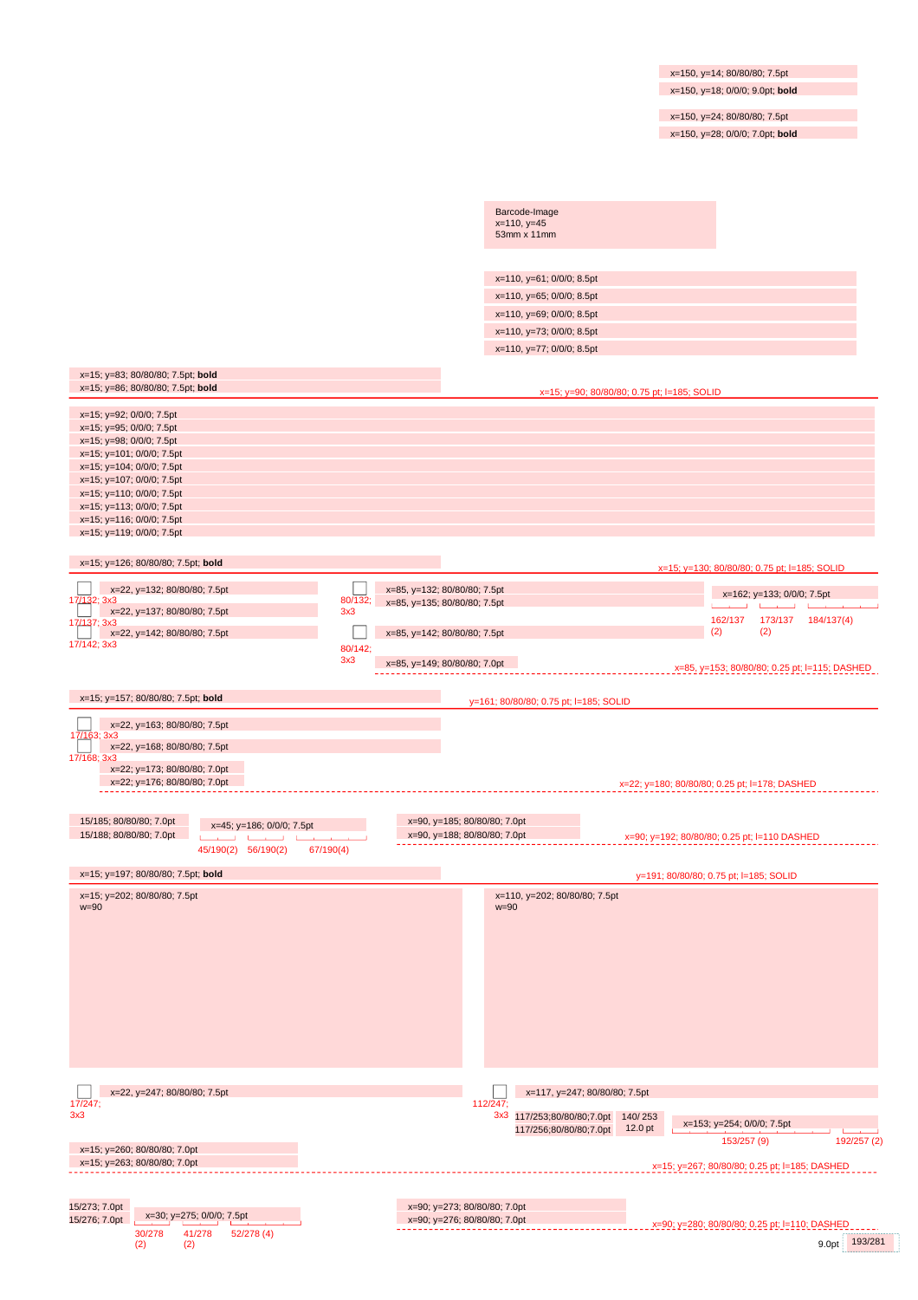x=150, y=14; 80/80/80; 7.5pt x=150, y=18; 0/0/0; 9.0pt; **bold**

x=150, y=24; 80/80/80; 7.5pt

x=150, y=28; 0/0/0; 7.0pt; **bold**

| Barcode-Image<br>$x=110, y=45$<br>53mm x 11mm          |  |
|--------------------------------------------------------|--|
|                                                        |  |
| x=110, y=61; 0/0/0; 8.5pt<br>x=110, y=65; 0/0/0; 8.5pt |  |
| x=110, y=69; 0/0/0; 8.5pt                              |  |
| x=110, y=73; 0/0/0; 8.5pt                              |  |
| x=110, y=77; 0/0/0; 8.5pt                              |  |

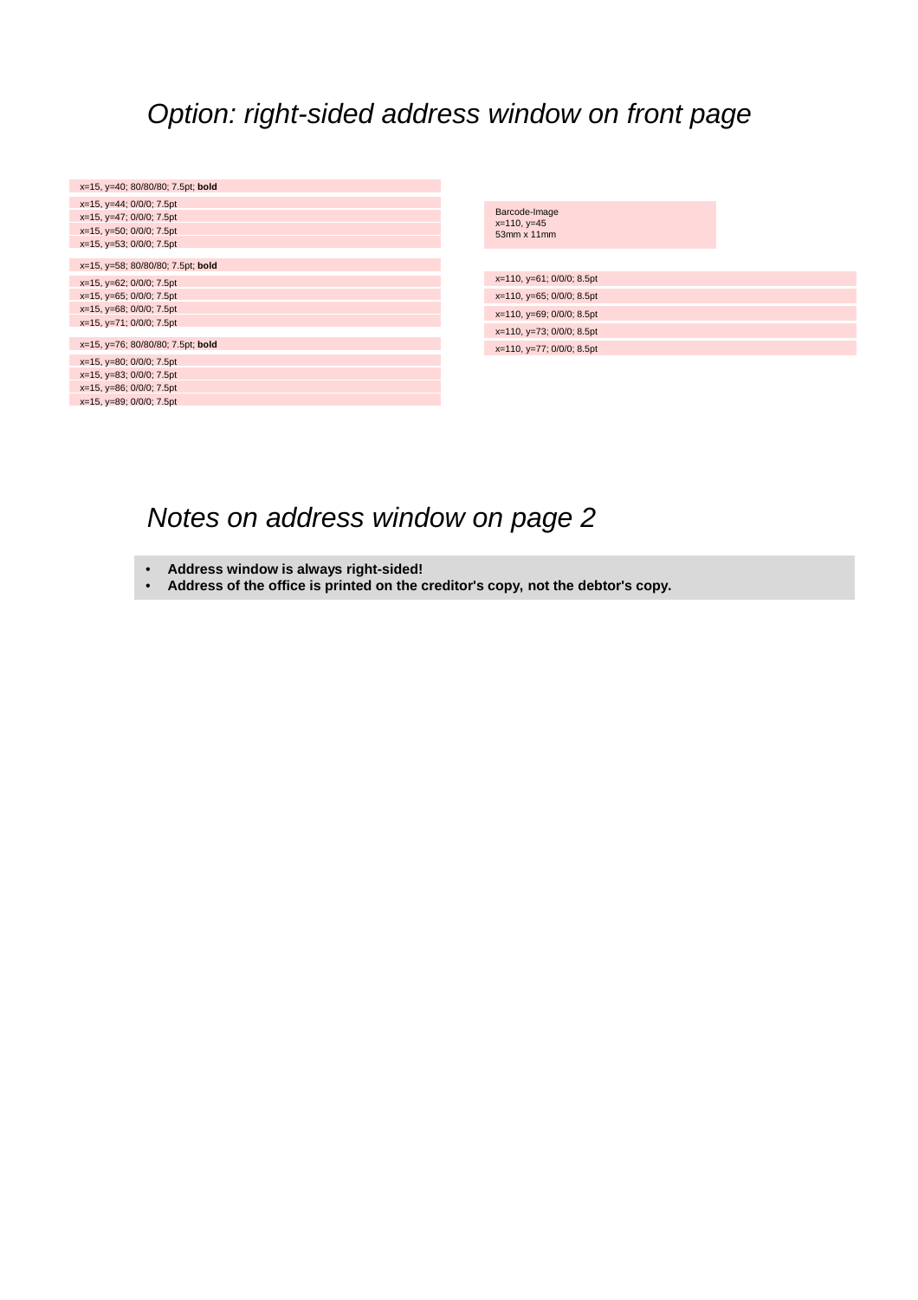### *Option: right-sided address window on front page*

| x=15, y=40; 80/80/80; 7.5pt; bold                                                                                                                |                                               |
|--------------------------------------------------------------------------------------------------------------------------------------------------|-----------------------------------------------|
| $x=15$ , $y=44$ ; $0/0/0$ ; 7.5pt<br>$x=15$ , $y=47$ ; $0/0/0$ ; 7.5pt<br>$x=15$ , $y=50$ ; $0/0/0$ ; 7.5pt<br>$x=15$ , $y=53$ ; $0/0/0$ ; 7.5pt | Barcode-Image<br>$x=110, y=45$<br>53mm x 11mm |
| x=15, y=58; 80/80/80; 7.5pt; bold                                                                                                                |                                               |
| x=15, y=62; 0/0/0; 7.5pt                                                                                                                         | x=110, y=61; 0/0/0; 8.5pt                     |
| $x=15$ , $y=65$ ; $0/0/0$ ; 7.5pt                                                                                                                | $x=110$ , $y=65$ ; $0/0/0$ ; 8.5pt            |
| $x=15$ , $y=68$ ; $0/0/0$ ; 7.5pt                                                                                                                | $x=110$ , $y=69$ ; $0/0/0$ ; 8.5pt            |
| $x=15$ , $y=71$ ; $0/0/0$ ; 7.5pt                                                                                                                | x=110, y=73; 0/0/0; 8.5pt                     |
| x=15, y=76; 80/80/80; 7.5pt; bold                                                                                                                | $x=110$ , $y=77$ ; $0/0/0$ ; 8.5pt            |
| $x=15$ , $y=80$ ; $0/0/0$ ; 7.5pt                                                                                                                |                                               |
| $x=15$ , $y=83$ ; $0/0/0$ ; 7.5pt                                                                                                                |                                               |
| $x=15$ , $y=86$ ; $0/0/0$ ; 7.5pt                                                                                                                |                                               |
| $x=15$ , $y=89$ ; $0/0/0$ ; 7.5pt                                                                                                                |                                               |

## *Notes on address window on page 2*

- **Address window is always right-sided!**
- **Address of the office is printed on the creditor's copy, not the debtor's copy.**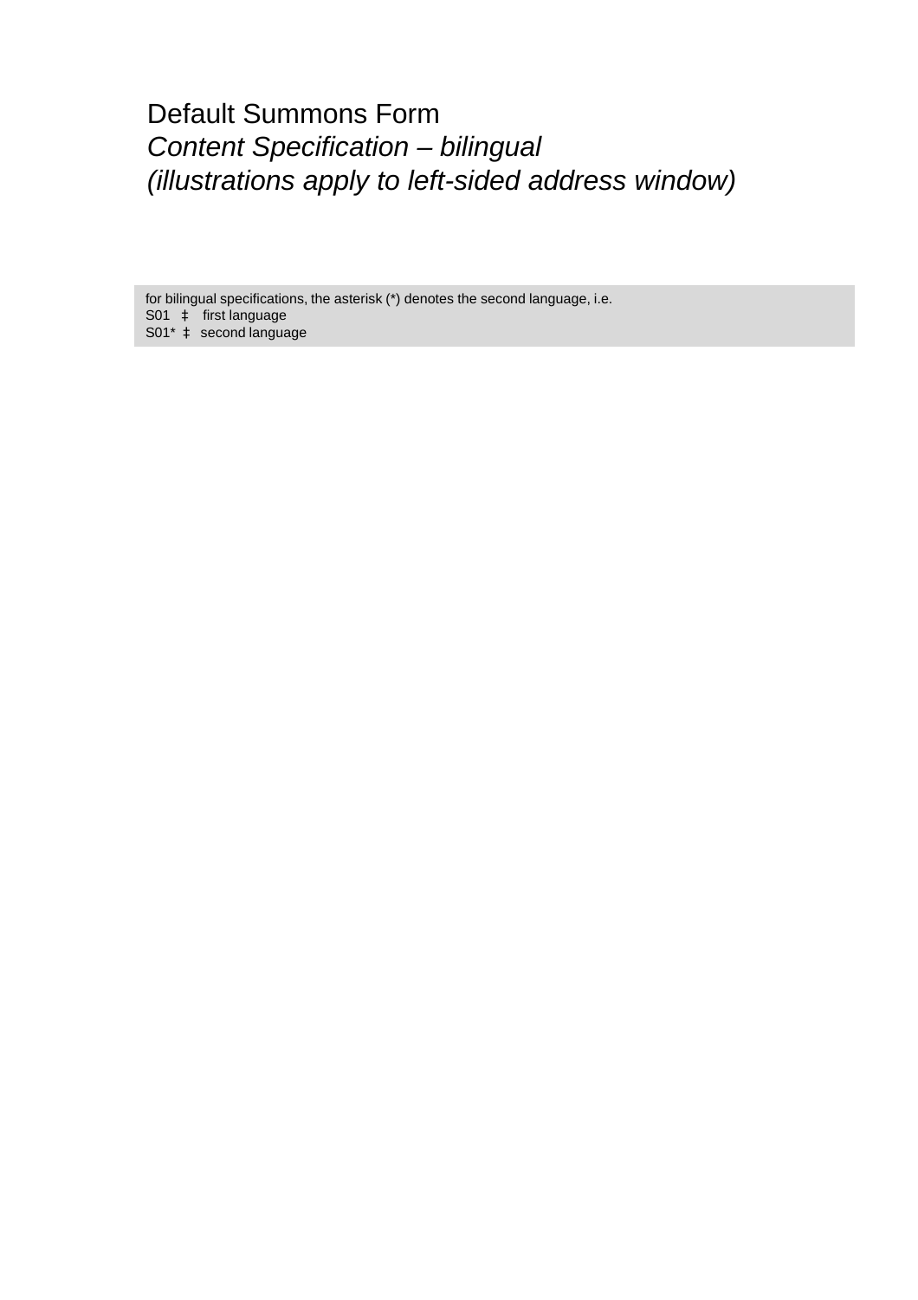### Default Summons Form *Content Specification – bilingual (illustrations apply to left-sided address window)*

for bilingual specifications, the asterisk (\*) denotes the second language, i.e. S01 à first language S01<sup>\*</sup> à second language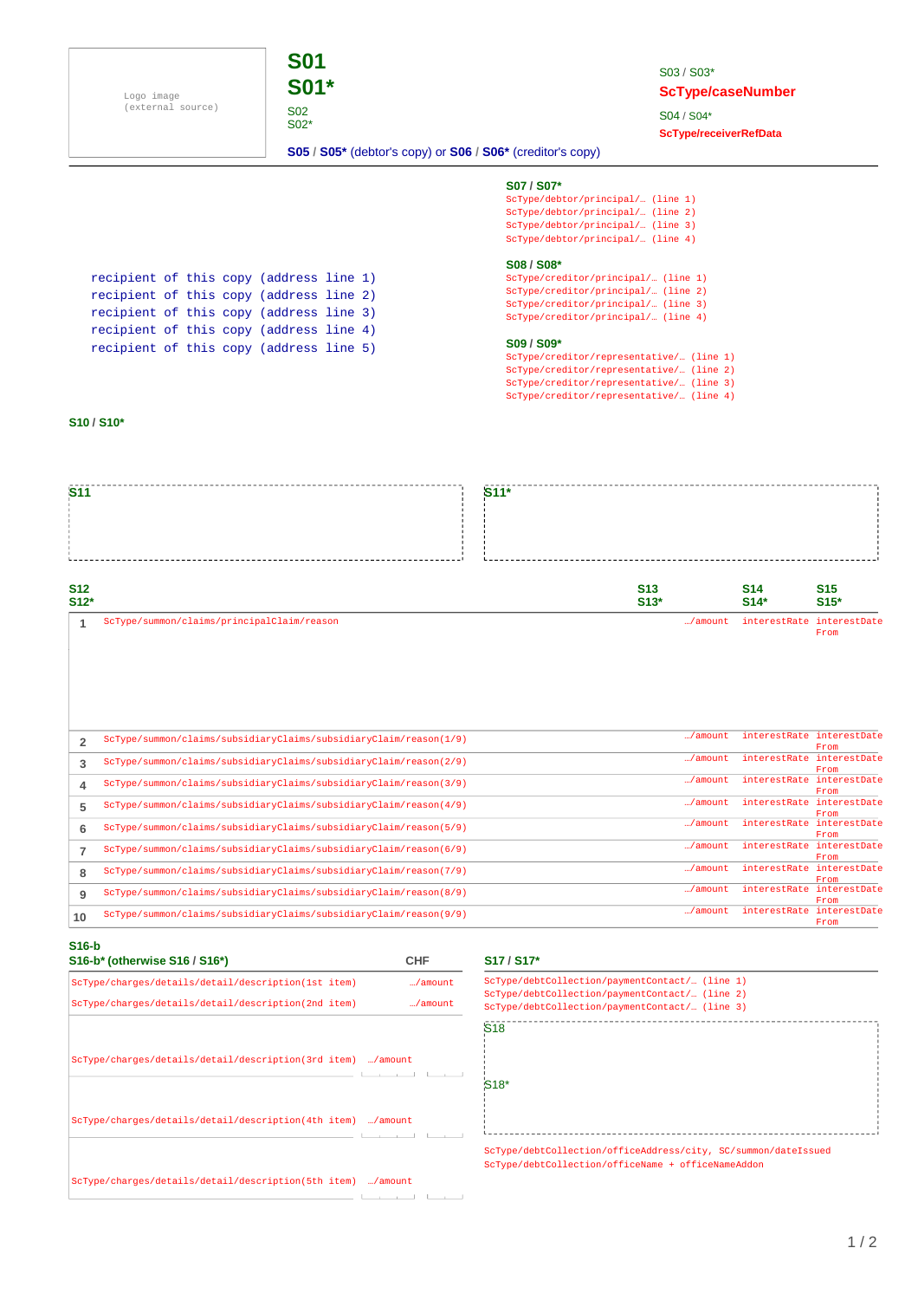Logo image (external source)



S03 / S03\* **ScType/caseNumber**

S04 / S04\* **ScType/receiverRefData**

**S05 / S05\*** (debtor's copy) or **S06 / S06\*** (creditor's copy)

#### **S07 / S07\***

| ScType/debtor/principal/ (line 1) |  |
|-----------------------------------|--|
| ScType/debtor/principal/ (line 2) |  |
| ScType/debtor/principal/ (line 3) |  |
| ScType/debtor/principal/ (line 4) |  |

#### **S08 / S08\***

ScType/creditor/principal/… (line 2) ScType/creditor/principal/… (line 3) ScType/creditor/principal/… (line 4) ScType/creditor/principal/… (line 1)

#### **S09 / S09\***

| ScType/creditor/representative/… (line 1) |  |
|-------------------------------------------|--|
| ScType/creditor/representative/ (line 2)  |  |
| ScType/creditor/representative/ (line 3)  |  |
| ScType/creditor/representative/ (line 4)  |  |

recipient of this copy (address line 1) recipient of this copy (address line 2) recipient of this copy (address line 3) recipient of this copy (address line 4) recipient of this copy (address line 5)

#### **S10 / S10\***

| S <sub>11</sub>      |                                            | $S11*$ |                      |                                   |                           |
|----------------------|--------------------------------------------|--------|----------------------|-----------------------------------|---------------------------|
|                      |                                            |        |                      |                                   |                           |
| <b>S12</b><br>$S12*$ |                                            |        | <b>S13</b><br>$S13*$ | <b>S14</b><br>$S14*$              | S <sub>15</sub><br>$S15*$ |
|                      | ScType/summon/claims/principalClaim/reason |        |                      | /amount interestRate interestDate | From                      |

| $\overline{2}$ | $ScType/summon/claims/subsidiaryClains/subsidiaryClainy/chain/reason(1/9)$           | /amount          | interestRate interestDate |              |
|----------------|--------------------------------------------------------------------------------------|------------------|---------------------------|--------------|
|                |                                                                                      |                  |                           | From         |
| 3              | ScType/summon/claims/subsidiaryClaims/subsidiaryClaim/reason(2/9)                    | $\ldots$ /amount | interestRate interestDate |              |
|                |                                                                                      |                  |                           | From         |
|                | ScType/summon/claims/subsidiaryClaims/subsidiaryClaim/reason(3/9)                    | /amount          | interestRate interestDate |              |
| 4              |                                                                                      |                  |                           | From         |
|                | $ScType/summon/claims/subsidiaryClaims/subsidiaryClaims/subsidiaryClaim/reason(4/9)$ | /amount          | interestRate interestDate |              |
| 5              |                                                                                      |                  |                           | From         |
|                |                                                                                      | /amount          | interestRate interestDate |              |
| 6              | ScType/summon/claims/subsidiaryClaims/subsidiaryClaim/reason(5/9)                    |                  |                           | From         |
|                |                                                                                      | $\ldots$ /amount | interestRate interestDate |              |
|                | $ScType/summon/claims/subsidiaryClaims/subsidiaryClaims/subsidiaryClaim/reason(6/9)$ |                  |                           | From         |
|                |                                                                                      | $\ldots$ /amount | interestRate interestDate |              |
| 8              | ScType/summon/claims/subsidiaryClaims/subsidiaryClaim/reason(7/9)                    |                  |                           | <b>From</b>  |
|                |                                                                                      | /amount          | interestRate              | interestDate |
| 9              | ScType/summon/claims/subsidiaryClaims/subsidiaryClaim/reason(8/9)                    |                  |                           | From         |
|                |                                                                                      | $\ldots$ /amount | interestRate              | interestDate |
| 10             | $ScType/summon/claims/subsidiaryClaims/subsidiaryClaims/subsidiaryClaim/reason(9/9)$ |                  |                           | From         |
|                |                                                                                      |                  |                           |              |

#### **S16-b**

| .<br>S16-b* (otherwise S16 / S16*)                          | <b>CHF</b>       | S <sub>17</sub> / S <sub>17</sub> *                                                                |
|-------------------------------------------------------------|------------------|----------------------------------------------------------------------------------------------------|
| ScType/charges/details/detail/description(1st item)         | /amount          | ScType/debtCollection/paymentContact/ (line 1)                                                     |
| ScType/charges/details/detail/description(2nd item)         | $\ldots$ /amount | ScType/debtCollection/paymentContact/ (line 2)<br>ScType/debtCollection/paymentContact/ (line 3)   |
|                                                             |                  | S <sub>18</sub>                                                                                    |
| ScType/charges/details/detail/description(3rd item) /amount |                  | S <sub>18</sub> *                                                                                  |
| ScType/charges/details/detail/description(4th item) /amount |                  |                                                                                                    |
|                                                             |                  | ScType/debtCollection/officeAddress/city, SC/su<br>ScType/debtCollection/officeName + officeNameAd |
| ScType/charges/details/detail/description(5th item) /amount |                  |                                                                                                    |
|                                                             |                  |                                                                                                    |

#### **S16-b\* (otherwise S16 / S16\*) S17 / S17\***

| ScType/debtCollection/paymentContact/ (line 1) |
|------------------------------------------------|
| ScType/debtCollection/paymentContact/ (line 2) |
| ScType/debtCollection/paymentContact/ (line 3) |
| S18                                            |

ScType/debtCollection/officeAddress/city, SC/summon/dateIssued ScType/debtCollection/officeName + officeNameAddon

1 / 2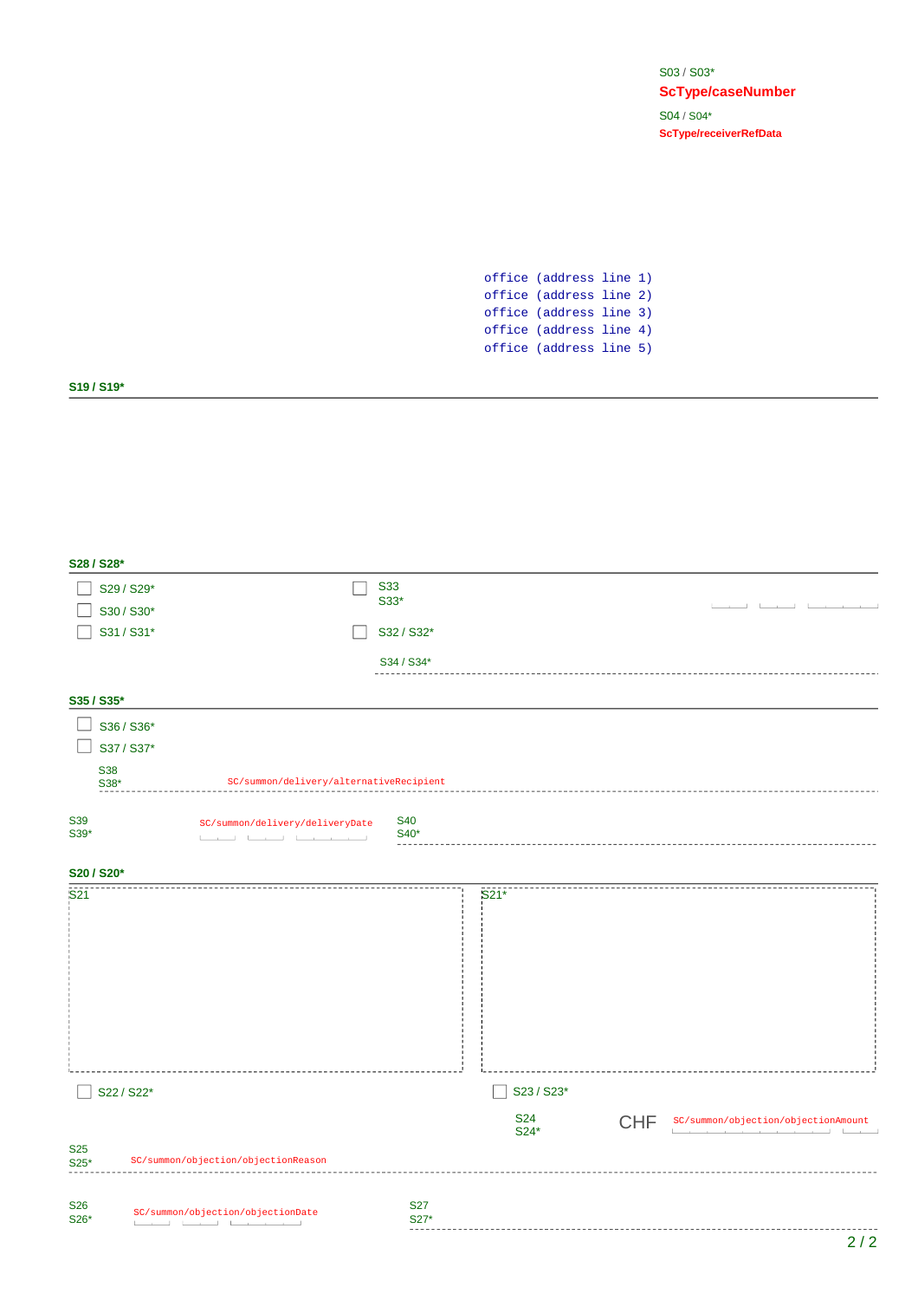S03 / S03\* **ScType/caseNumber** S04 / S04\* **ScType/receiverRefData**

office (address line 1) office (address line 2) office (address line 3) office (address line 4) office (address line 5)

#### **S19 / S19\***

|                    | S28 / S28*         |                                                                                 |            |                    |            |                                                                                  |
|--------------------|--------------------|---------------------------------------------------------------------------------|------------|--------------------|------------|----------------------------------------------------------------------------------|
|                    | S29 / S29*         |                                                                                 | <b>S33</b> |                    |            |                                                                                  |
|                    | S30 / S30*         |                                                                                 | S33*       |                    |            | the contract of the con-<br><b>The Contract of Contract Inc.</b>                 |
|                    | S31 / S31*         |                                                                                 | S32 / S32* |                    |            |                                                                                  |
|                    |                    |                                                                                 | S34 / S34* |                    |            |                                                                                  |
|                    |                    |                                                                                 |            |                    |            |                                                                                  |
|                    | S35 / S35*         |                                                                                 |            |                    |            |                                                                                  |
|                    | S36 / S36*         |                                                                                 |            |                    |            |                                                                                  |
|                    | S37 / S37*         |                                                                                 |            |                    |            |                                                                                  |
|                    | <b>S38</b><br>S38* | SC/summon/delivery/alternativeRecipient                                         |            |                    |            |                                                                                  |
|                    |                    |                                                                                 |            |                    |            |                                                                                  |
| <b>S39</b><br>S39* |                    | SC/summon/delivery/deliveryDate                                                 | <b>S40</b> |                    |            |                                                                                  |
|                    |                    | the contract of the contract of the contract of the contract of the contract of | S40*       |                    |            |                                                                                  |
|                    | S20 / S20*         |                                                                                 |            |                    |            |                                                                                  |
| S <sub>21</sub>    |                    |                                                                                 |            | $S21*$             |            |                                                                                  |
|                    |                    |                                                                                 |            |                    |            |                                                                                  |
|                    |                    |                                                                                 |            |                    |            |                                                                                  |
|                    |                    |                                                                                 |            |                    |            |                                                                                  |
|                    |                    |                                                                                 |            |                    |            |                                                                                  |
|                    |                    |                                                                                 |            |                    |            |                                                                                  |
|                    |                    |                                                                                 |            |                    |            |                                                                                  |
|                    |                    |                                                                                 |            |                    |            |                                                                                  |
|                    | S22 / S22*         |                                                                                 |            |                    |            |                                                                                  |
|                    |                    |                                                                                 |            | S23 / S23*         |            |                                                                                  |
|                    |                    |                                                                                 |            | <b>S24</b><br>S24* | <b>CHF</b> | SC/summon/objection/objectionAmount<br>the company of the company of the company |
| <b>S25</b>         |                    | SC/summon/objection/objectionReason                                             |            |                    |            |                                                                                  |
| S25*               |                    |                                                                                 |            |                    |            |                                                                                  |
| <b>S26</b>         |                    |                                                                                 | <b>S27</b> |                    |            |                                                                                  |
| S26*               |                    | SC/summon/objection/objectionDate<br>المستحدث والمستنقط المستقيظ                | S27*       |                    |            |                                                                                  |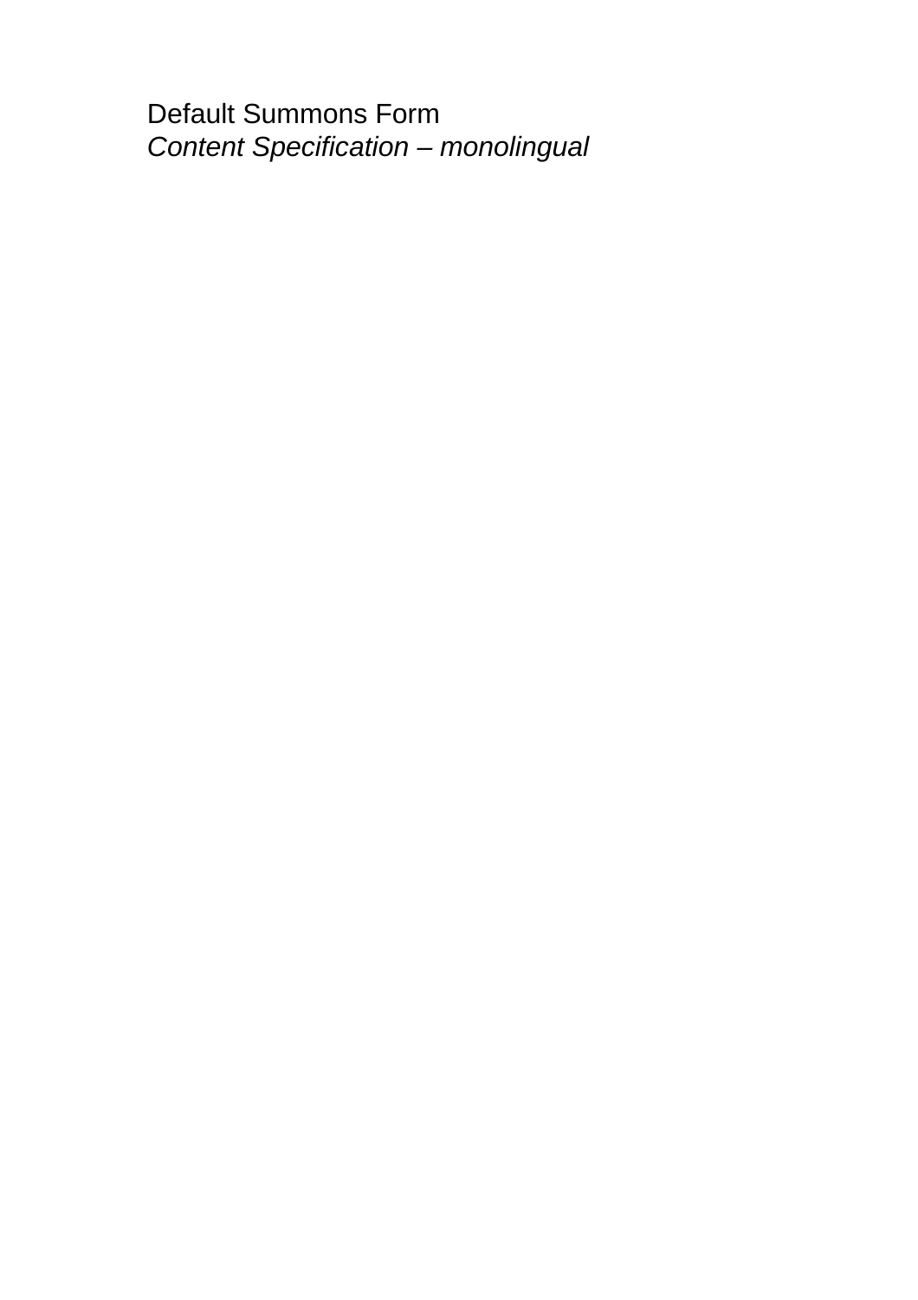Default Summons Form *Content Specification – monolingual*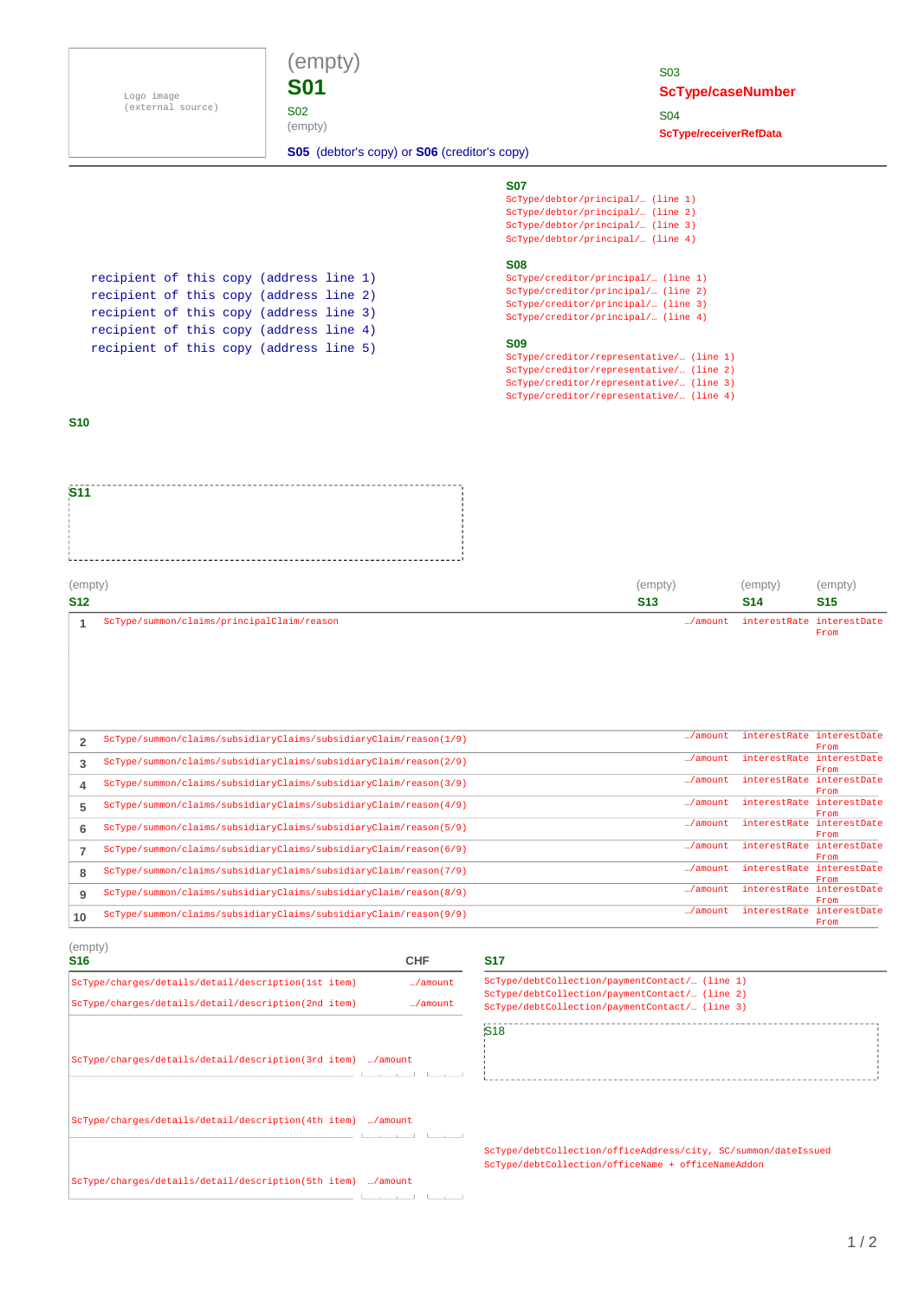Logo image (external source)



S02 (empty)

### S03 **ScType/caseNumber** S04 **ScType/receiverRefData**

**S05** (debtor's copy) or **S06** (creditor's copy)

#### **S07**

ScType/debtor/principal/… (line 2) ScType/debtor/principal/… (line 3) ScType/debtor/principal/… (line 4) ScType/debtor/principal/… (line 1)

#### **S08**

ScType/creditor/principal/… (line 2) ScType/creditor/principal/… (line 3) ScType/creditor/principal/… (line 4) ScType/creditor/principal/… (line 1)

#### **S09**

ScType/creditor/representative/… (line 2) ScType/creditor/representative/… (line 3) ScType/creditor/representative/… (line 4) ScType/creditor/representative/… (line 1)

recipient of this copy (address line 1) recipient of this copy (address line 2) recipient of this copy (address line 3) recipient of this copy (address line 4) recipient of this copy (address line 5)

#### **S10**

**S11** 

| (empty) | (empty)                                    | (empty)    | (empty)                                   |
|---------|--------------------------------------------|------------|-------------------------------------------|
| S12     | <b>S13</b>                                 | <b>S14</b> | <b>S15</b>                                |
|         | ScType/summon/claims/principalClaim/reason |            | /amount interestRate interestDate<br>From |

| 2  | $ScType/summon/clains/subsidiaryClains/subsidiaryClaimyClaim/reason(1/9)$ | /amount | interestRate interestDate |              |
|----|---------------------------------------------------------------------------|---------|---------------------------|--------------|
|    |                                                                           |         |                           | From         |
| 3  | ScType/summon/claims/subsidiaryClaims/subsidiaryClaim/reason(2/9)         | /amount | interestRate              | interestDate |
|    |                                                                           |         |                           | From         |
|    | ScType/summon/claims/subsidiaryClaims/subsidiaryClaim/reason(3/9)         | /amount | interestRate interestDate |              |
| 4  |                                                                           |         |                           | From         |
|    | $ScType/summon/clains/subsidiaryClains/subsidiaryClaimyClaim/reason(4/9)$ | /amount | interestRate              | interestDate |
| 5  |                                                                           |         |                           | From         |
|    | ScType/summon/claims/subsidiaryClaims/subsidiaryClaim/reason(5/9)         | /amount | interestRate              | interestDate |
| 6  |                                                                           |         |                           | From         |
|    | ScType/summon/claims/subsidiaryClaims/subsidiaryClaim/reason(6/9)         | /amount | interestRate              | interestDate |
|    |                                                                           |         |                           | From         |
|    | ScType/summon/claims/subsidiaryClaims/subsidiaryClaim/reason(7/9)         | /amount | interestRate              | interestDate |
| 8  |                                                                           |         |                           | <b>From</b>  |
|    |                                                                           | /amount | interestRate              | interestDate |
| 9  | ScType/summon/claims/subsidiaryClaims/subsidiaryClaim/reason(8/9)         |         |                           | From         |
|    |                                                                           | /amount | interestRate              | interestDate |
| 10 | ScType/summon/claims/subsidiaryClaims/subsidiaryClaim/reason(9/9)         |         |                           | From         |

| (empty)<br><b>S16</b>                                       | <b>CHF</b> |
|-------------------------------------------------------------|------------|
| ScType/charges/details/detail/description(1st item)         | /amount    |
| ScType/charges/details/detail/description(2nd item)         | /amount    |
|                                                             |            |
| ScType/charges/details/detail/description(3rd item) /amount |            |
| ScType/charges/details/detail/description(4th item) /amount |            |
| ScType/charges/details/detail/description(5th item) /amount |            |
|                                                             |            |

ScType/debtCollection/paymentContact/… (line 1) ScType/debtCollection/paymentContact/… (line 2) ScType/debtCollection/paymentContact/… (line 3) S18<br>S18

-------------------------------------

ScType/debtCollection/officeAddress/city, SC/summon/dateIssued ScType/debtCollection/officeName + officeNameAddon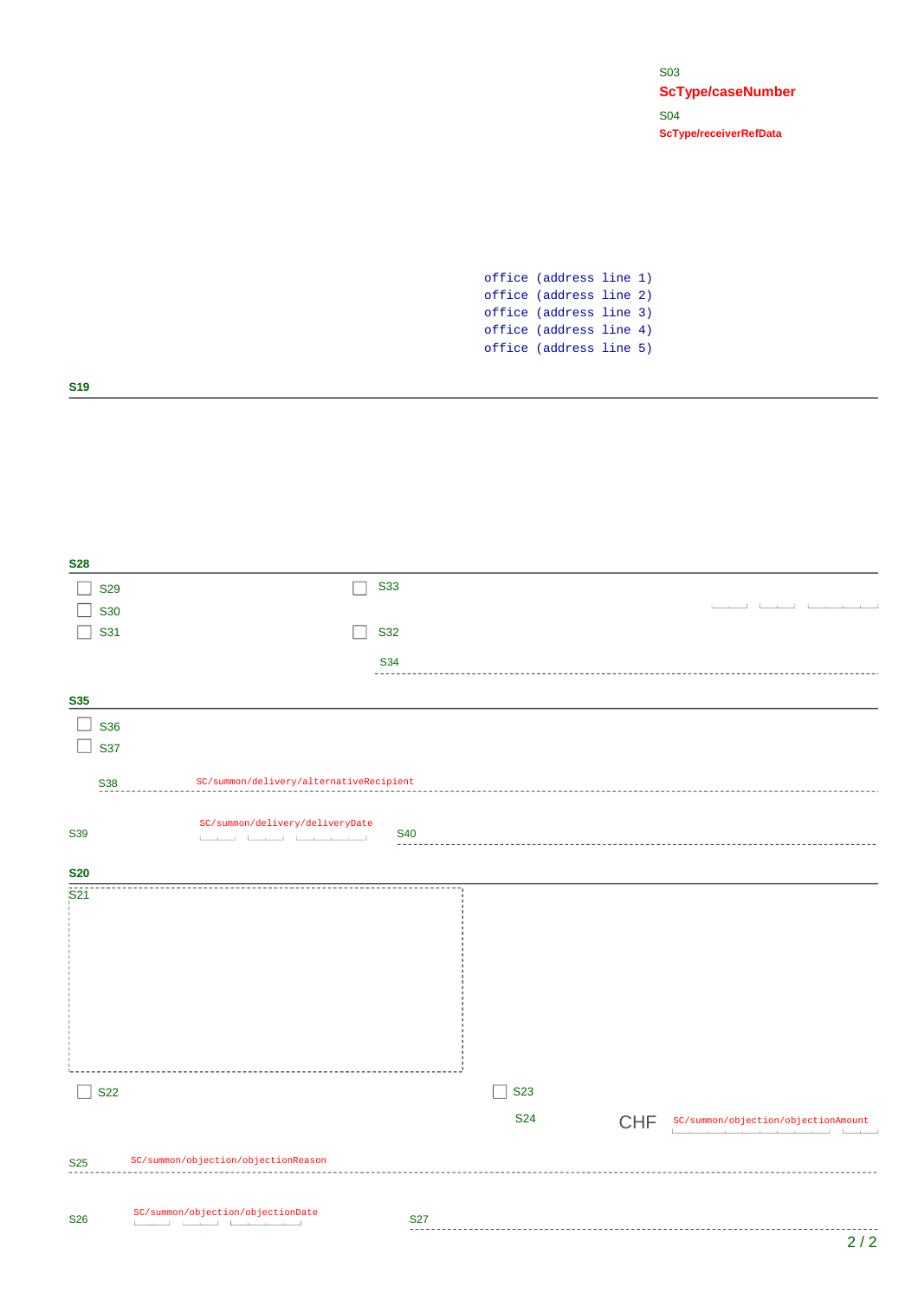S03 **ScType/caseNumber** S04 **ScType/receiverRefData**

office (address line 1) office (address line 2) office (address line 3) office (address line 4) office (address line 5)

**S19**

**S28**

S33  $\Box$  S29 the contract of the contract of  $\Box$  S30  $\Box$  S31 S32 S34 . . . . . **S35**  $\Box$  S36  $\Box$  S37 S38 SC/summon/delivery/alternativeRecipient SC/summon/delivery/deliveryDate S39 Sex Summon y delivery vacine very pace<br>S40 **S20**  $\overline{S21}$ ------------------------------ $\Box$  S22  $\Box$  S23 S24CHF SC/summon/objection/objectionAmount the contract of the contract of the contract of **Contract** SC/summon/objection/objectionReason S25 S26 S27 SC/summon/objection/objectionDate  $2/2$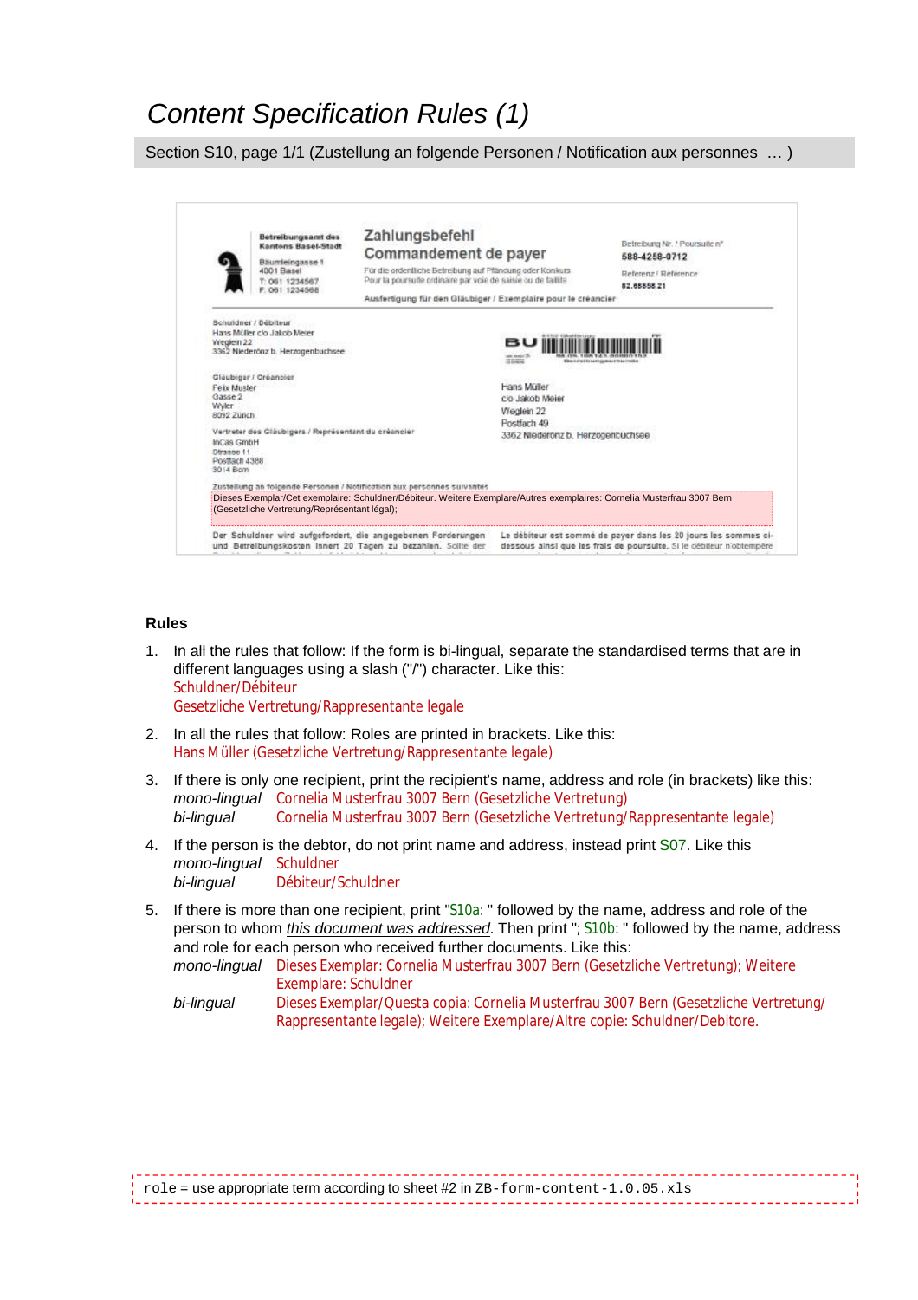### *Content Specification Rules (1)*

Section S10, page 1/1 (Zustellung an folgende Personen / Notification aux personnes … )

|                                                                     | Betreibungsamt des<br>Kantons Basel-Stadt<br>Bäumleingasse 1<br>4001 Basel<br>T: 061 1234567<br>F: 061 1234568    | Zahlungsbefehl<br>Commandement de payer<br>Für die ordenfliche Betreibung auf Pfäncung oder Konkurs<br>Pour la poursuite ordinaire par voie de saisie ou de faillite<br>Ausfertigung für den Gläubiger / Exemplaire pour le créancier |                                                                                                  | Betreiburg Nr. / Poursuite n°<br>588-4258-0712<br>Referenz I Référence<br>82,88888.21                                                   |
|---------------------------------------------------------------------|-------------------------------------------------------------------------------------------------------------------|---------------------------------------------------------------------------------------------------------------------------------------------------------------------------------------------------------------------------------------|--------------------------------------------------------------------------------------------------|-----------------------------------------------------------------------------------------------------------------------------------------|
| Wreglein 22                                                         | Schuldner / Debiteur<br>Hans Müller c/o Jakob Meler<br>3362 Niederönz b. Herzogenbuchsee<br>Gläubiger / Créancier |                                                                                                                                                                                                                                       | вu<br>use swear 3<br>77.004444<br><b>ERACEFORDSHIPS IN BLUET</b>                                 |                                                                                                                                         |
| Febr Muster<br>Gasse 2<br><b>Wyler</b><br>8092 Zürich<br>InCas GmbH | Vertreter des Gläubigers / Représentant du créancier                                                              |                                                                                                                                                                                                                                       | Hans Müller<br>c/o Jakob Meier<br>Weglein 22<br>Postfach 49<br>3362 Niederönz b. Herzogenbuchsee |                                                                                                                                         |
| Straase 11<br>Postfach 4388<br>3014 Bom                             |                                                                                                                   |                                                                                                                                                                                                                                       |                                                                                                  |                                                                                                                                         |
|                                                                     | (Gesetzliche Vertretung/Représentant légal);                                                                      | Zustellung an folgende Personen / Notification aux personnes suivantes<br>Dieses Exemplar/Cet exemplaire: Schuldner/Débiteur. Weitere Exemplare/Autres exemplaires: Cornelia Musterfrau 3007 Bern                                     |                                                                                                  |                                                                                                                                         |
|                                                                     | und Betreibungskosten Innert 20 Tagen zu bezahlen. Sollte der                                                     | Der Schuldner wird aufgefordert, die angegebenen Forderungen                                                                                                                                                                          |                                                                                                  | Le débiteur est sommé de payer dans les 20 jours les sommes ci-<br>dessous ainsi que les frais de poursuite. Si le débiteur n'obtempère |

#### **Rules**

- 1. In all the rules that follow: If the form is bi-lingual, separate the standardised terms that are in different languages using a slash ("/") character. Like this: Schuldner/Débiteur Gesetzliche Vertretung/Rappresentante legale
- 2. In all the rules that follow: Roles are printed in brackets. Like this: Hans Müller (Gesetzliche Vertretung/Rappresentante legale)
- 3. If there is only one recipient, print the recipient's name, address and role (in brackets) like this: *mono-lingual* Cornelia Musterfrau 3007 Bern (Gesetzliche Vertretung) *bi-lingual* Cornelia Musterfrau 3007 Bern (Gesetzliche Vertretung/Rappresentante legale)
- 4. If the person is the debtor, do not print name and address, instead print S07. Like this *mono-lingual* Schuldner *bi-lingual* Débiteur/Schuldner
- 5. If there is more than one recipient, print "S10a: " followed by the name, address and role of the person to whom *this document was addressed*. Then print "; S10b: " followed by the name, address and role for each person who received further documents. Like this: *mono-lingual* Dieses Exemplar: Cornelia Musterfrau 3007 Bern (Gesetzliche Vertretung); Weitere Exemplare: Schuldner

*bi-lingual* Dieses Exemplar/Questa copia: Cornelia Musterfrau 3007 Bern (Gesetzliche Vertretung/ Rappresentante legale); Weitere Exemplare/Altre copie: Schuldner/Debitore.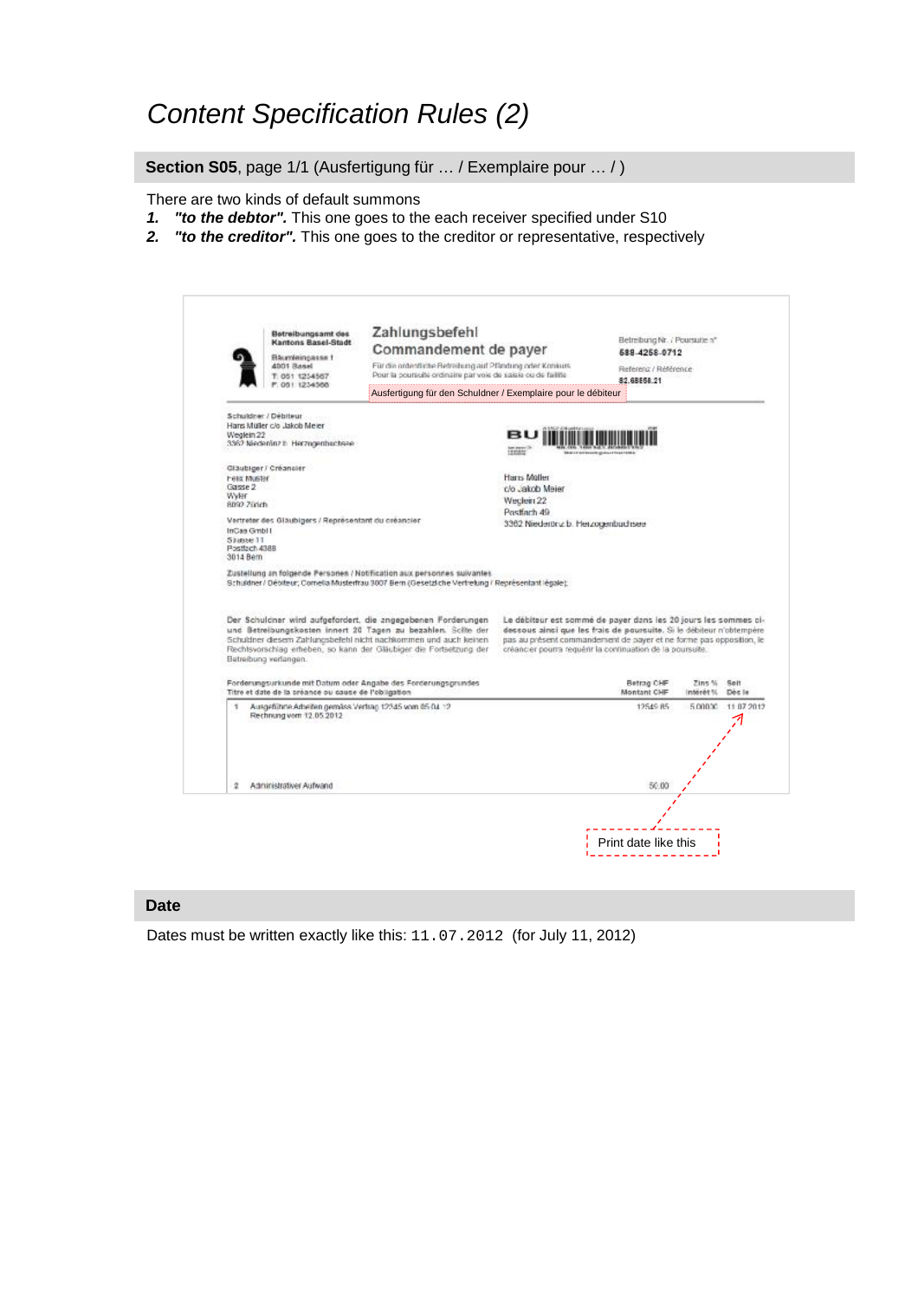### *Content Specification Rules (2)*

**Section S05**, page 1/1 (Ausfertigung für … / Exemplaire pour … / )

There are two kinds of default summons

- *1. "to the debtor".* This one goes to the each receiver specified under S10
- *2. "to the creditor".* This one goes to the creditor or representative, respectively

|                                                       | Betreibungsamt des<br>Kantons Basel-Stadt<br>Blazmieingasse 1                              | Zahlungsbefehl<br>Commandement de payer                                                                                                                                                                                                                                 |                                                                                                                                                                                                                                                                              | Eletreibung Nr. / Poursuite a*<br>688-4258-0712 |            |                    |
|-------------------------------------------------------|--------------------------------------------------------------------------------------------|-------------------------------------------------------------------------------------------------------------------------------------------------------------------------------------------------------------------------------------------------------------------------|------------------------------------------------------------------------------------------------------------------------------------------------------------------------------------------------------------------------------------------------------------------------------|-------------------------------------------------|------------|--------------------|
|                                                       | 4001 Rasel<br>T: 051 1254567<br>P. 051 1234566                                             | Für die ordentliche Betreibung auf Pfändung oder Konkurs<br>Pour la poursuite ordinaire par voie de saisie ou de faillite                                                                                                                                               |                                                                                                                                                                                                                                                                              | Referenz / Référence<br>82.68558.21             |            |                    |
|                                                       |                                                                                            | Ausfertigung für den Schuldner / Exemplaire pour le débiteur                                                                                                                                                                                                            |                                                                                                                                                                                                                                                                              |                                                 |            |                    |
| Weglein 22                                            | Schuldner / Debiteur<br>Haris Muller c/o Jakob Meler<br>3362 Niederlinz b. Herzogenbuchsee |                                                                                                                                                                                                                                                                         |                                                                                                                                                                                                                                                                              |                                                 |            |                    |
|                                                       |                                                                                            |                                                                                                                                                                                                                                                                         |                                                                                                                                                                                                                                                                              |                                                 |            |                    |
| <b>Felix Muster</b><br>Gasse 2                        | Gläubiger / Créancier                                                                      |                                                                                                                                                                                                                                                                         | Harrs Moller<br>c/o Jakob Meier                                                                                                                                                                                                                                              |                                                 |            |                    |
| Wylen<br>8092.70nch                                   |                                                                                            |                                                                                                                                                                                                                                                                         | Weclein 22                                                                                                                                                                                                                                                                   |                                                 |            |                    |
| InCas GmbH<br>Shasse 11<br>Postfach 4388<br>3014 Bern | Vertreter des Gläubigers / Représentant du créancier                                       |                                                                                                                                                                                                                                                                         | Postfach 49<br>3362 Niederönz b. Herzogenbuchsee                                                                                                                                                                                                                             |                                                 |            |                    |
|                                                       |                                                                                            | Zustellung an folgende Personen / Notification aux personnes suivantes<br>Schuldner / Débiteur; Cornelia Musterfrau 3007 Bern (Gesetzliche Vertretung / Représentant légale);                                                                                           |                                                                                                                                                                                                                                                                              |                                                 |            |                    |
|                                                       | Betreibung verlangen.                                                                      | Der Schulcher wird aufgefordert, die angegebenen Forderungen<br>und Betreibungskosten innert 20 Tagen zu bezahlen. Sollte der<br>Schuldner diesem Zahlungsbefehl nicht nachkommen und auch keinen<br>Rechtsvorschlag erheben, so kann der Gläubiger die Fortsetzung der | Le débiteur est sommé de payer dans les 20 jours les sommes ci-<br>dessous ainsi que les frais de poursuite. Si le débiteur n'obtempère<br>pas au présent commandement de payer et ne forme pas opposition, le<br>créancier pourra requêrir la continuation de la poursuite. |                                                 |            |                    |
|                                                       |                                                                                            |                                                                                                                                                                                                                                                                         |                                                                                                                                                                                                                                                                              | Betrag CHF                                      | Zins %     | Spit<br>Doc le     |
|                                                       | Titre et date de la préance ou cause de l'obligation                                       | Forderungsurkunde mit Datum oder Angabe des Forderungsgrundes                                                                                                                                                                                                           |                                                                                                                                                                                                                                                                              | Montant CHF                                     | 27 banan I |                    |
| ٠                                                     | Ausgeführte Arbeiten gemäss Verfrag 12345 vom 65 04 12<br>Rechnung vom 12.05.2012          |                                                                                                                                                                                                                                                                         |                                                                                                                                                                                                                                                                              | 12549 85                                        |            | 5,00000 11.07.2012 |
| 2                                                     | Administrativer Aufwand                                                                    |                                                                                                                                                                                                                                                                         |                                                                                                                                                                                                                                                                              | 50.00                                           |            |                    |

#### **Date**

Dates must be written exactly like this: 11.07.2012 (for July 11, 2012)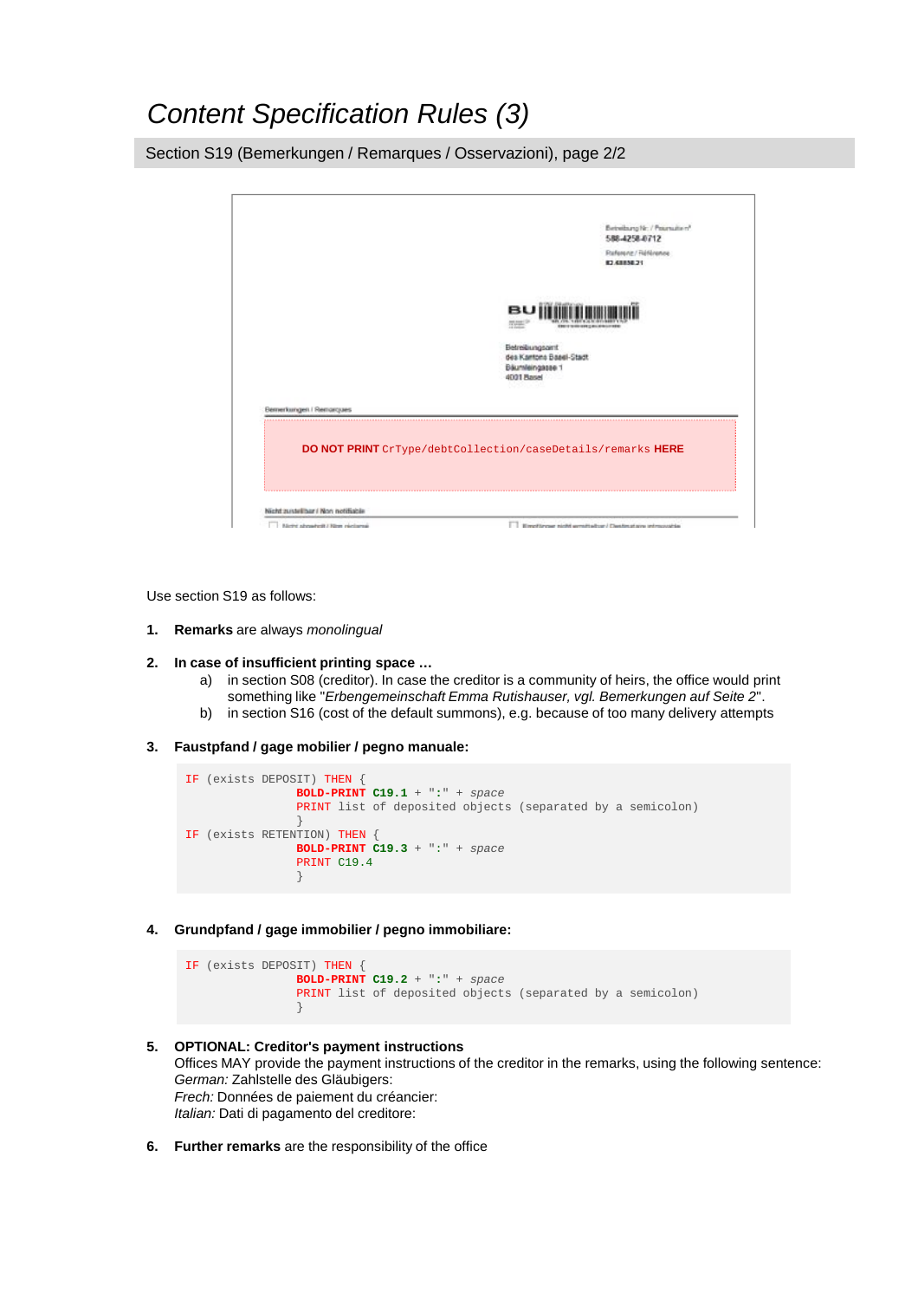### *Content Specification Rules (3)*

Section S19 (Bemerkungen / Remarques / Osservazioni), page 2/2



Use section S19 as follows:

- **1. Remarks** are always *monolingual*
- **2. In case of insufficient printing space …**
	- a) in section S08 (creditor). In case the creditor is a community of heirs, the office would print something like "*Erbengemeinschaft Emma Rutishauser, vgl. Bemerkungen auf Seite 2*".
	- b) in section S16 (cost of the default summons), e.g. because of too many delivery attempts
- **3. Faustpfand / gage mobilier / pegno manuale:**

```
IF (exists DEPOSIT) THEN {
                BOLD-PRINT C19.1 + ":" + space
                PRINT list of deposited objects (separated by a semicolon)
                }
IF (exists RETENTION) THEN { 
                BOLD-PRINT C19.3 + ":" + space
                PRINT C19.4
                }
```
**4. Grundpfand / gage immobilier / pegno immobiliare:**

```
IF (exists DEPOSIT) THEN {
                BOLD-PRINT C19.2 + ":" + space
                PRINT list of deposited objects (separated by a semicolon)
                }
```
- **5. OPTIONAL: Creditor's payment instructions** Offices MAY provide the payment instructions of the creditor in the remarks, using the following sentence: *German:* Zahlstelle des Gläubigers: *Frech:* Données de paiement du créancier: *Italian:* Dati di pagamento del creditore:
- **6. Further remarks** are the responsibility of the office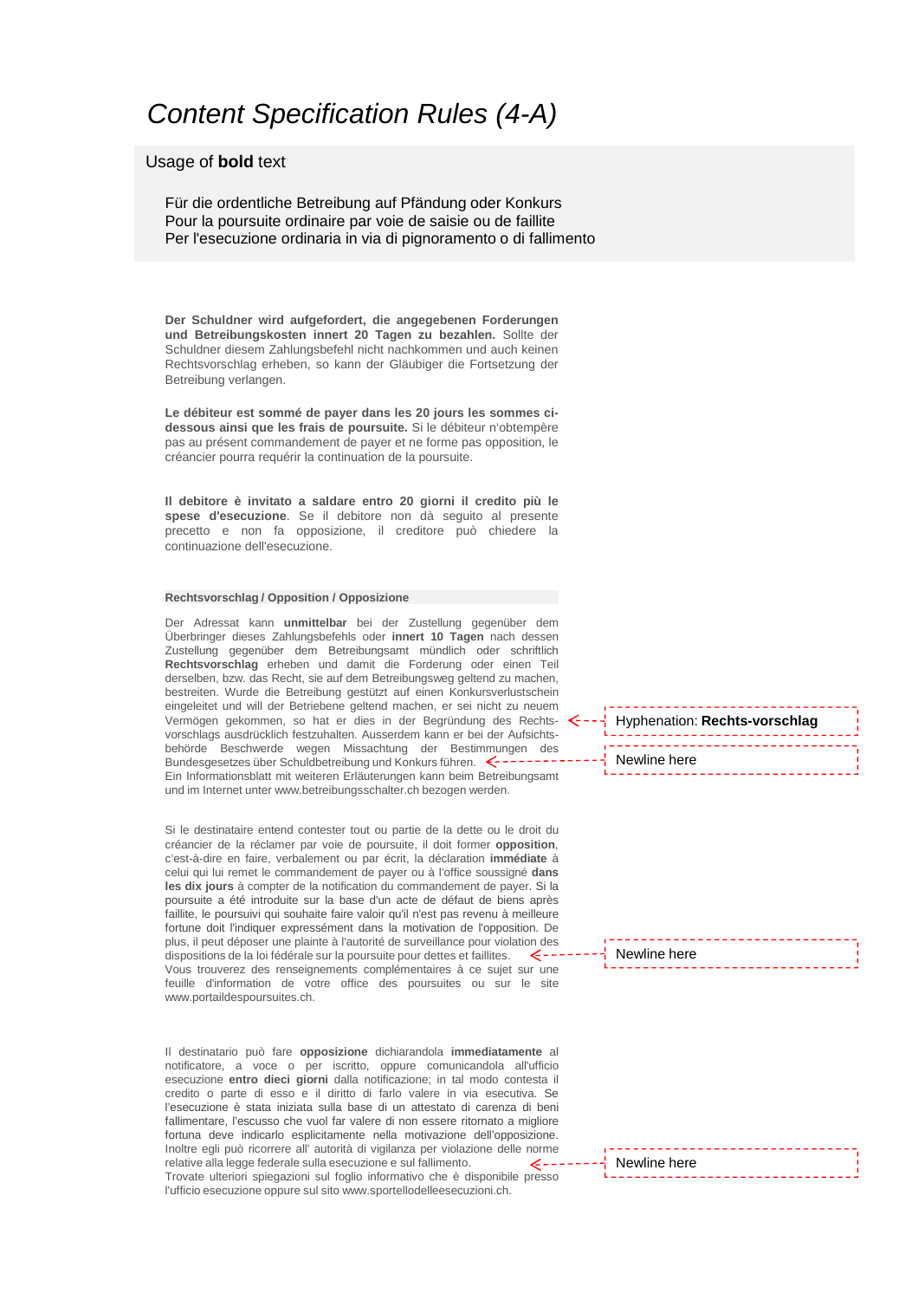### *Content Specification Rules (4-A)*

#### Usage of **bold** text

Für die ordentliche Betreibung auf Pfändung oder Konkurs Pour la poursuite ordinaire par voie de saisie ou de faillite Per l'esecuzione ordinaria in via di pignoramento o di fallimento

**Der Schuldner wird aufgefordert, die angegebenen Forderungen und Betreibungskosten innert 20 Tagen zu bezahlen.** Sollte der Schuldner diesem Zahlungsbefehl nicht nachkommen und auch keinen Rechtsvorschlag erheben, so kann der Gläubiger die Fortsetzung der Betreibung verlangen.

**Le débiteur est sommé de payer dans les 20 jours les sommes cidessous ainsi que les frais de poursuite.** Si le débiteur n'obtempère pas au présent commandement de payer et ne forme pas opposition, le créancier pourra requérir la continuation de la poursuite.

**Il debitore è invitato a saldare entro 20 giorni il credito più le spese d'esecuzione**. Se il debitore non dà seguito al presente precetto e non fa opposizione, il creditore può chiedere la continuazione dell'esecuzione.

#### **Rechtsvorschlag / Opposition / Opposizione**

Der Adressat kann **unmittelbar** bei der Zustellung gegenüber dem Überbringer dieses Zahlungsbefehls oder **innert 10 Tagen** nach dessen Zustellung gegenüber dem Betreibungsamt mündlich oder schriftlich **Rechtsvorschlag** erheben und damit die Forderung oder einen Teil derselben, bzw. das Recht, sie auf dem Betreibungsweg geltend zu machen, bestreiten. Wurde die Betreibung gestützt auf einen Konkursverlustschein eingeleitet und will der Betriebene geltend machen, er sei nicht zu neuem Vermögen gekommen, so hat er dies in der Begründung des Rechtsvorschlags ausdrücklich festzuhalten. Ausserdem kann er bei der Aufsichtsbehörde Beschwerde wegen Missachtung der Bestimmungen des Bundesgesetzes über Schuldbetreibung und Konkurs führen. Ein Informationsblatt mit weiteren Erläuterungen kann beim Betreibungsamt und im Internet unter www.betreibungsschalter.ch bezogen werden.

Si le destinataire entend contester tout ou partie de la dette ou le droit du créancier de la réclamer par voie de poursuite, il doit former **opposition**, c'est-à-dire en faire, verbalement ou par écrit, la déclaration **immédiate** à celui qui lui remet le commandement de payer ou à l'office soussigné **dans les dix jours** à compter de la notification du commandement de payer. Si la poursuite a été introduite sur la base d'un acte de défaut de biens après faillite, le poursuivi qui souhaite faire valoir qu'il n'est pas revenu à meilleure fortune doit l'indiquer expressément dans la motivation de l'opposition. De plus, il peut déposer une plainte à l'autorité de surveillance pour violation des dispositions de la loi fédérale sur la poursuite pour dettes et faillites. - 4 - - -Vous trouverez des renseignements complémentaires à ce sujet sur une feuille d'information de votre office des poursuites ou sur le site www.portaildespoursuites.ch.

Il destinatario può fare **opposizione** dichiarandola **immediatamente** al notificatore, a voce o per iscritto, oppure comunicandola all'ufficio esecuzione **entro dieci giorni** dalla notificazione; in tal modo contesta il credito o parte di esso e il diritto di farlo valere in via esecutiva. Se l'esecuzione è stata iniziata sulla base di un attestato di carenza di beni fallimentare, l'escusso che vuol far valere di non essere ritornato a migliore fortuna deve indicarlo esplicitamente nella motivazione dell'opposizione. Inoltre egli può ricorrere all' autorità di vigilanza per violazione delle norme relative alla legge federale sulla esecuzione e sul fallimento. Z - - -Trovate ulteriori spiegazioni sul foglio informativo che è disponibile presso l'ufficio esecuzione oppure sul sito www.sportellodelleesecuzioni.ch.

Hyphenation: **Rechts-vorschlag** . . . . . . . . . . . . Newline here

Newline here

Newline here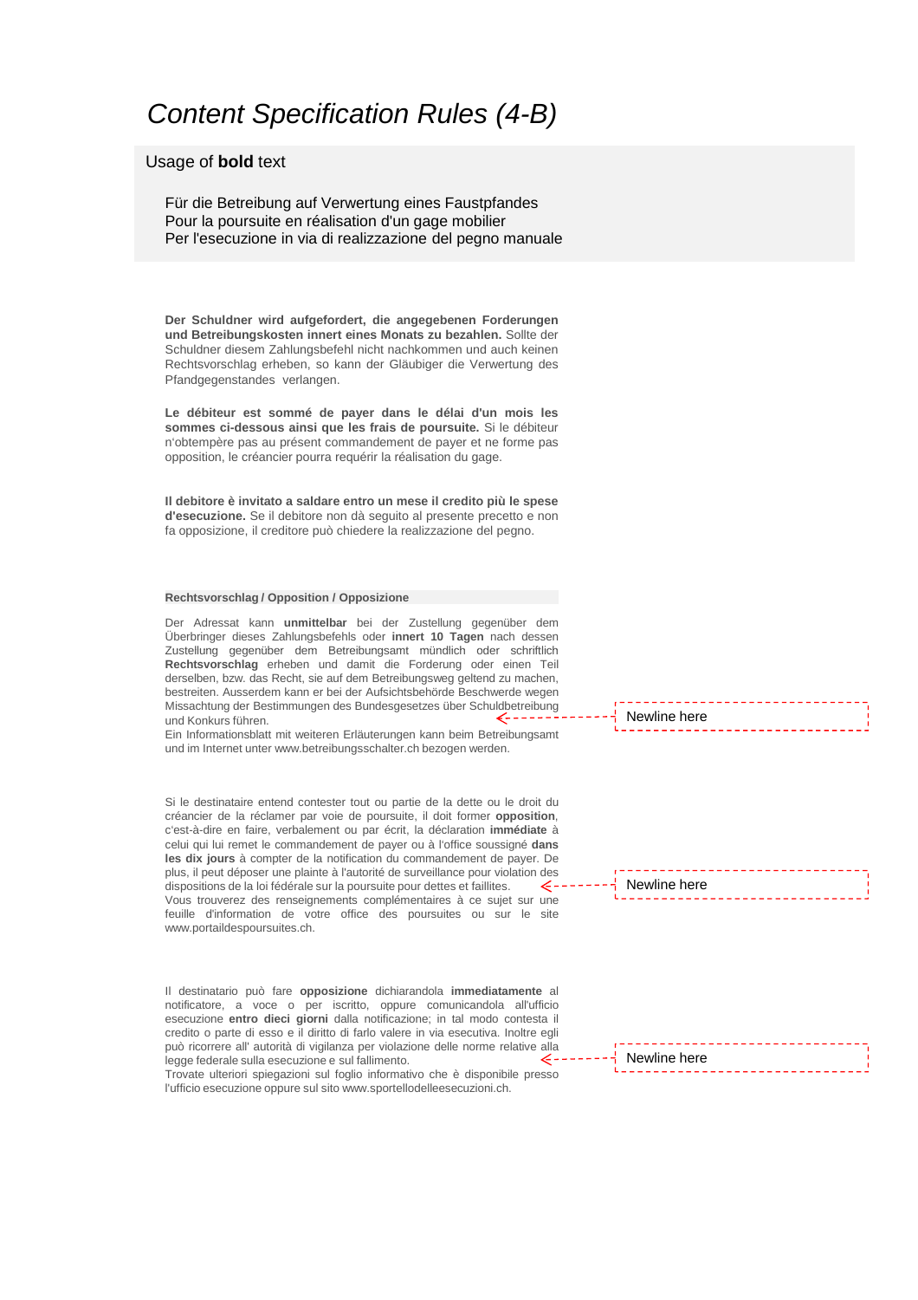### *Content Specification Rules (4-B)*

#### Usage of **bold** text

Für die Betreibung auf Verwertung eines Faustpfandes Pour la poursuite en réalisation d'un gage mobilier Per l'esecuzione in via di realizzazione del pegno manuale

**Der Schuldner wird aufgefordert, die angegebenen Forderungen und Betreibungskosten innert eines Monats zu bezahlen.** Sollte der Schuldner diesem Zahlungsbefehl nicht nachkommen und auch keinen Rechtsvorschlag erheben, so kann der Gläubiger die Verwertung des Pfandgegenstandes verlangen.

**Le débiteur est sommé de payer dans le délai d'un mois les sommes ci-dessous ainsi que les frais de poursuite.** Si le débiteur n'obtempère pas au présent commandement de payer et ne forme pas opposition, le créancier pourra requérir la réalisation du gage.

**Il debitore è invitato a saldare entro un mese il credito più le spese d'esecuzione.** Se il debitore non dà seguito al presente precetto e non fa opposizione, il creditore può chiedere la realizzazione del pegno.

#### **Rechtsvorschlag / Opposition / Opposizione**

Der Adressat kann **unmittelbar** bei der Zustellung gegenüber dem Überbringer dieses Zahlungsbefehls oder **innert 10 Tagen** nach dessen Zustellung gegenüber dem Betreibungsamt mündlich oder schriftlich **Rechtsvorschlag** erheben und damit die Forderung oder einen Teil derselben, bzw. das Recht, sie auf dem Betreibungsweg geltend zu machen, bestreiten. Ausserdem kann er bei der Aufsichtsbehörde Beschwerde wegen Missachtung der Bestimmungen des Bundesgesetzes über Schuldbetreibung und Konkurs führen.

Ein Informationsblatt mit weiteren Erläuterungen kann beim Betreibungsamt und im Internet unter www.betreibungsschalter.ch bezogen werden.

Si le destinataire entend contester tout ou partie de la dette ou le droit du créancier de la réclamer par voie de poursuite, il doit former **opposition**, c'est-à-dire en faire, verbalement ou par écrit, la déclaration **immédiate** à celui qui lui remet le commandement de payer ou à l'office soussigné **dans les dix jours** à compter de la notification du commandement de payer. De plus, il peut déposer une plainte à l'autorité de surveillance pour violation des dispositions de la loi fédérale sur la poursuite pour dettes et faillites.  $\epsilon$ -Vous trouverez des renseignements complémentaires à ce sujet sur une feuille d'information de votre office des poursuites ou sur le site www.portaildespoursuites.ch.

Il destinatario può fare **opposizione** dichiarandola **immediatamente** al notificatore, a voce o per iscritto, oppure comunicandola all'ufficio esecuzione **entro dieci giorni** dalla notificazione; in tal modo contesta il credito o parte di esso e il diritto di farlo valere in via esecutiva. Inoltre egli può ricorrere all' autorità di vigilanza per violazione delle norme relative alla legge federale sulla esecuzione e sul fallimento. ۔ بے

Trovate ulteriori spiegazioni sul foglio informativo che è disponibile presso l'ufficio esecuzione oppure sul sito www.sportellodelleesecuzioni.ch.

Newline here

Newline here

Newline here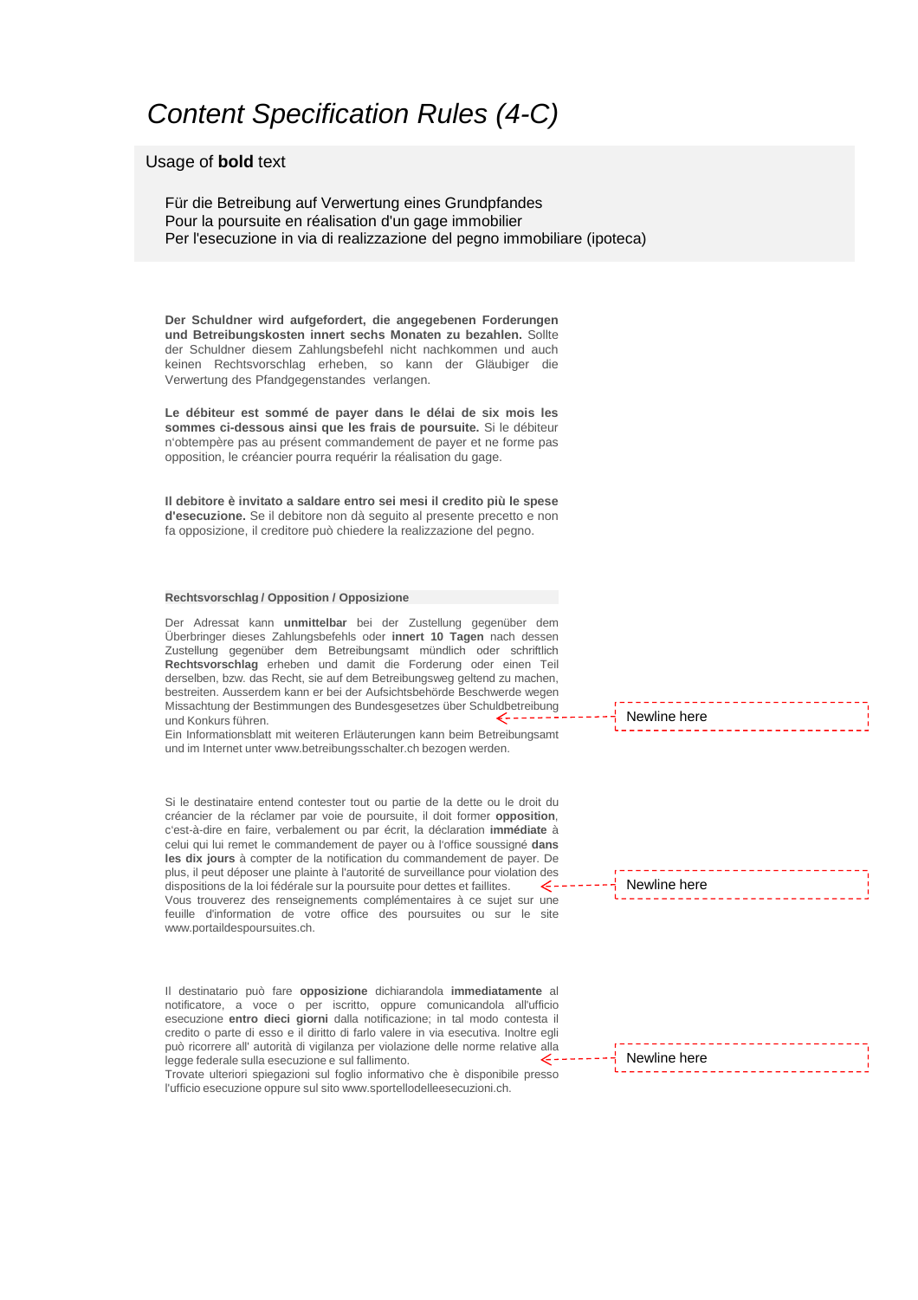### *Content Specification Rules (4-C)*

#### Usage of **bold** text

Für die Betreibung auf Verwertung eines Grundpfandes Pour la poursuite en réalisation d'un gage immobilier Per l'esecuzione in via di realizzazione del pegno immobiliare (ipoteca)

**Der Schuldner wird aufgefordert, die angegebenen Forderungen und Betreibungskosten innert sechs Monaten zu bezahlen.** Sollte der Schuldner diesem Zahlungsbefehl nicht nachkommen und auch keinen Rechtsvorschlag erheben, so kann der Gläubiger die Verwertung des Pfandgegenstandes verlangen.

**Le débiteur est sommé de payer dans le délai de six mois les sommes ci-dessous ainsi que les frais de poursuite.** Si le débiteur n'obtempère pas au présent commandement de payer et ne forme pas opposition, le créancier pourra requérir la réalisation du gage.

**Il debitore è invitato a saldare entro sei mesi il credito più le spese d'esecuzione.** Se il debitore non dà seguito al presente precetto e non fa opposizione, il creditore può chiedere la realizzazione del pegno.

#### **Rechtsvorschlag / Opposition / Opposizione**

Der Adressat kann **unmittelbar** bei der Zustellung gegenüber dem Überbringer dieses Zahlungsbefehls oder **innert 10 Tagen** nach dessen Zustellung gegenüber dem Betreibungsamt mündlich oder schriftlich **Rechtsvorschlag** erheben und damit die Forderung oder einen Teil derselben, bzw. das Recht, sie auf dem Betreibungsweg geltend zu machen, bestreiten. Ausserdem kann er bei der Aufsichtsbehörde Beschwerde wegen Missachtung der Bestimmungen des Bundesgesetzes über Schuldbetreibung und Konkurs führen.

Ein Informationsblatt mit weiteren Erläuterungen kann beim Betreibungsamt und im Internet unter www.betreibungsschalter.ch bezogen werden.

Si le destinataire entend contester tout ou partie de la dette ou le droit du créancier de la réclamer par voie de poursuite, il doit former **opposition**, c'est-à-dire en faire, verbalement ou par écrit, la déclaration **immédiate** à celui qui lui remet le commandement de payer ou à l'office soussigné **dans les dix jours** à compter de la notification du commandement de payer. De plus, il peut déposer une plainte à l'autorité de surveillance pour violation des dispositions de la loi fédérale sur la poursuite pour dettes et faillites.  $\epsilon$ -Vous trouverez des renseignements complémentaires à ce sujet sur une feuille d'information de votre office des poursuites ou sur le site www.portaildespoursuites.ch.

Il destinatario può fare **opposizione** dichiarandola **immediatamente** al notificatore, a voce o per iscritto, oppure comunicandola all'ufficio esecuzione **entro dieci giorni** dalla notificazione; in tal modo contesta il credito o parte di esso e il diritto di farlo valere in via esecutiva. Inoltre egli può ricorrere all' autorità di vigilanza per violazione delle norme relative alla legge federale sulla esecuzione e sul fallimento.  $\epsilon$  –

Trovate ulteriori spiegazioni sul foglio informativo che è disponibile presso l'ufficio esecuzione oppure sul sito www.sportellodelleesecuzioni.ch.

Newline here

Newline here

Newline here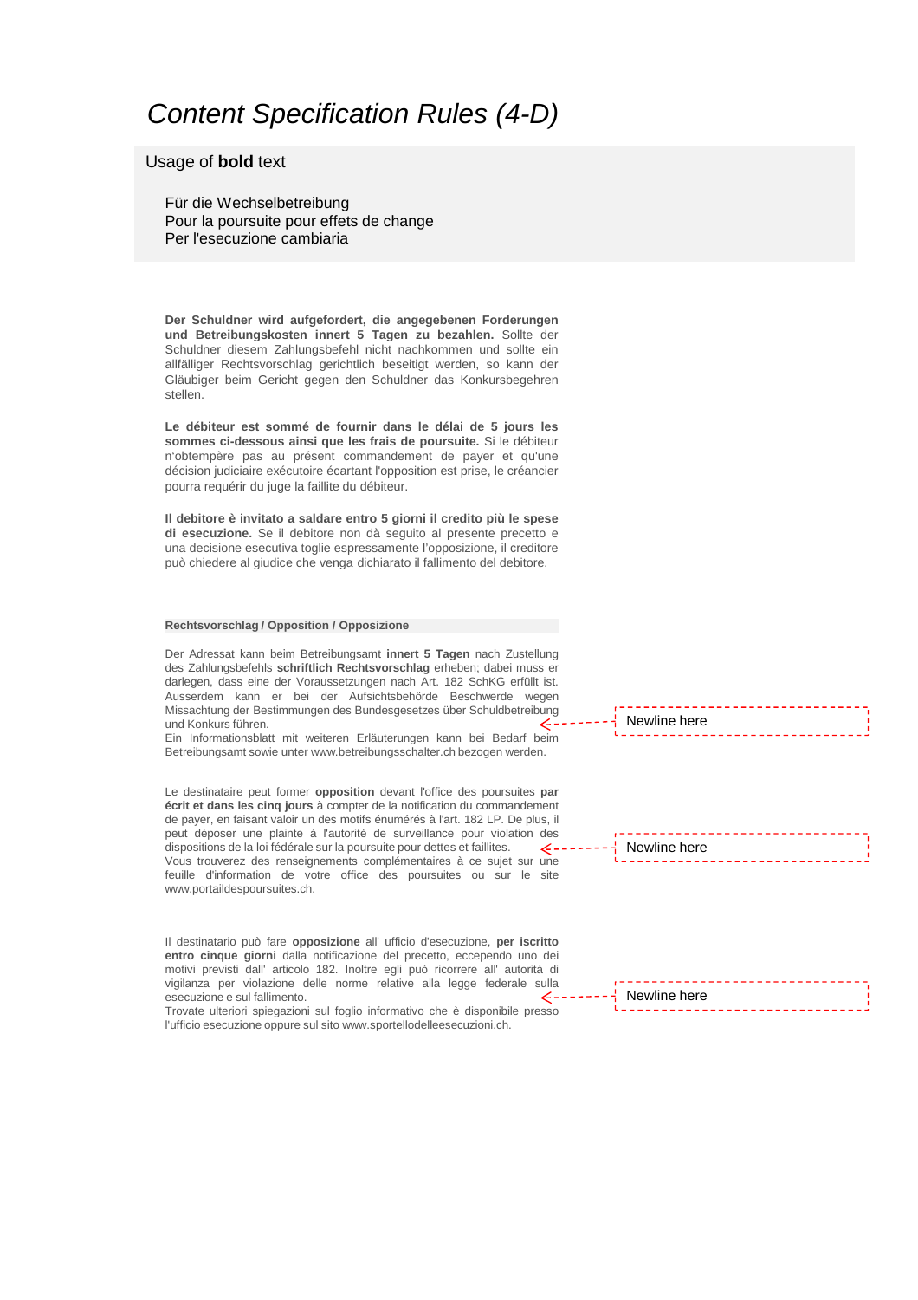### *Content Specification Rules (4-D)*

#### Usage of **bold** text

Für die Wechselbetreibung Pour la poursuite pour effets de change Per l'esecuzione cambiaria

**Der Schuldner wird aufgefordert, die angegebenen Forderungen und Betreibungskosten innert 5 Tagen zu bezahlen.** Sollte der Schuldner diesem Zahlungsbefehl nicht nachkommen und sollte ein allfälliger Rechtsvorschlag gerichtlich beseitigt werden, so kann der Gläubiger beim Gericht gegen den Schuldner das Konkursbegehren stellen.

**Le débiteur est sommé de fournir dans le délai de 5 jours les sommes ci-dessous ainsi que les frais de poursuite.** Si le débiteur n'obtempère pas au présent commandement de payer et qu'une décision judiciaire exécutoire écartant l'opposition est prise, le créancier pourra requérir du juge la faillite du débiteur.

**Il debitore è invitato a saldare entro 5 giorni il credito più le spese di esecuzione.** Se il debitore non dà seguito al presente precetto e una decisione esecutiva toglie espressamente l'opposizione, il creditore può chiedere al giudice che venga dichiarato il fallimento del debitore.

#### **Rechtsvorschlag / Opposition / Opposizione**

Der Adressat kann beim Betreibungsamt **innert 5 Tagen** nach Zustellung des Zahlungsbefehls **schriftlich Rechtsvorschlag** erheben; dabei muss er darlegen, dass eine der Voraussetzungen nach Art. 182 SchKG erfüllt ist. Ausserdem kann er bei der Aufsichtsbehörde Beschwerde wegen Missachtung der Bestimmungen des Bundesgesetzes über Schuldbetreibung und Konkurs führen.

Ein Informationsblatt mit weiteren Erläuterungen kann bei Bedarf beim Betreibungsamt sowie unter www.betreibungsschalter.ch bezogen werden.

Le destinataire peut former **opposition** devant l'office des poursuites **par écrit et dans les cinq jours** à compter de la notification du commandement de payer, en faisant valoir un des motifs énumérés à l'art. 182 LP. De plus, il peut déposer une plainte à l'autorité de surveillance pour violation des dispositions de la loi fédérale sur la poursuite pour dettes et faillites. Vous trouverez des renseignements complémentaires à ce sujet sur une feuille d'information de votre office des poursuites ou sur le site www.portaildespoursuites.ch.

Il destinatario può fare **opposizione** all' ufficio d'esecuzione, **per iscritto entro cinque giorni** dalla notificazione del precetto, eccependo uno dei motivi previsti dall' articolo 182. Inoltre egli può ricorrere all' autorità di vigilanza per violazione delle norme relative alla legge federale sulla esecuzione e sul fallimento.

Trovate ulteriori spiegazioni sul foglio informativo che è disponibile presso l'ufficio esecuzione oppure sul sito www.sportellodelleesecuzioni.ch.

Newline here

Newline here

| 국 Newline here |  |
|----------------|--|
|                |  |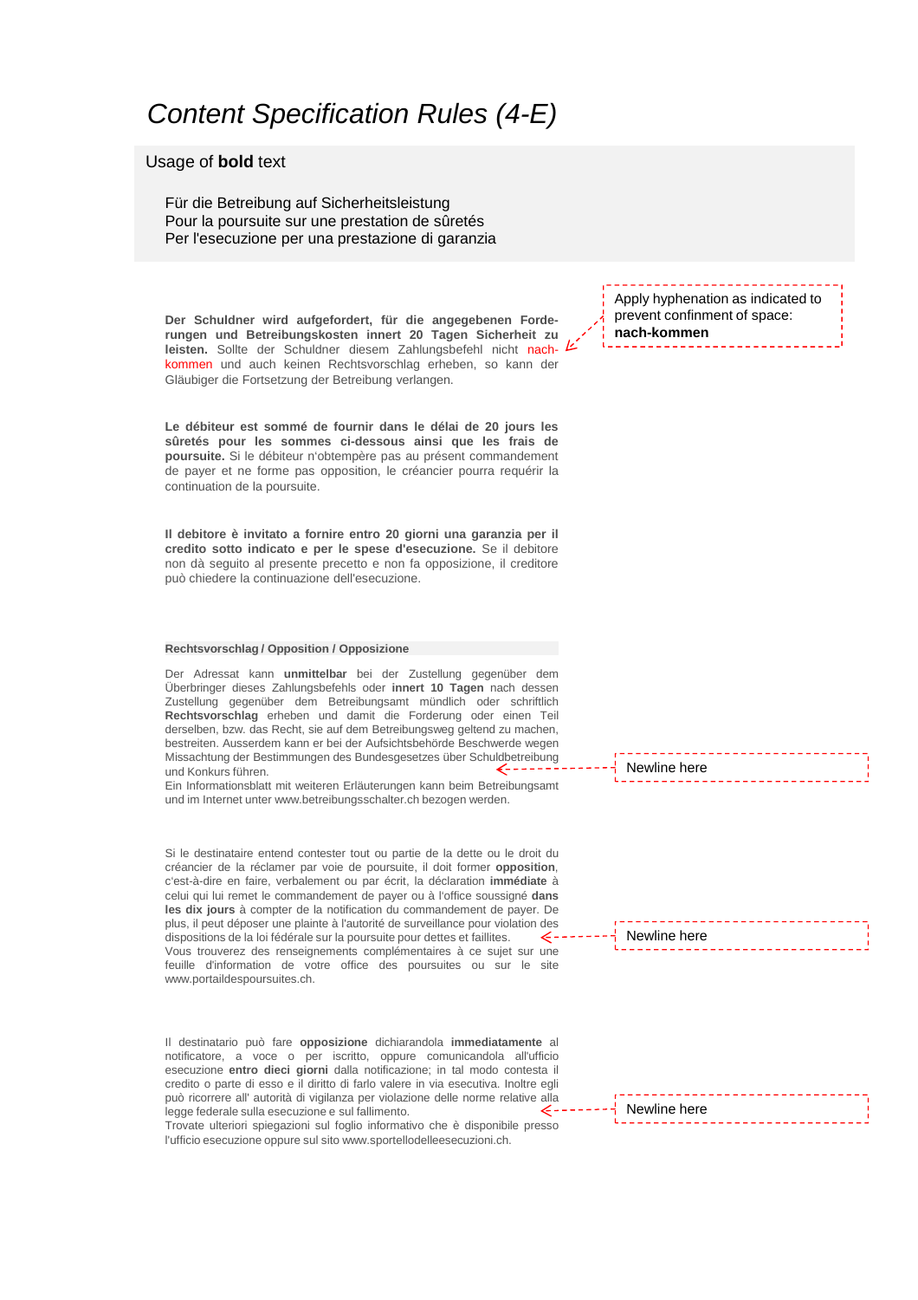### *Content Specification Rules (4-E)*

#### Usage of **bold** text

Für die Betreibung auf Sicherheitsleistung Pour la poursuite sur une prestation de sûretés Per l'esecuzione per una prestazione di garanzia

**Der Schuldner wird aufgefordert, für die angegebenen Forderungen und Betreibungskosten innert 20 Tagen Sicherheit zu leisten.** Sollte der Schuldner diesem Zahlungsbefehl nicht nachkommen und auch keinen Rechtsvorschlag erheben, so kann der Gläubiger die Fortsetzung der Betreibung verlangen.

**Le débiteur est sommé de fournir dans le délai de 20 jours les sûretés pour les sommes ci-dessous ainsi que les frais de poursuite.** Si le débiteur n'obtempère pas au présent commandement de payer et ne forme pas opposition, le créancier pourra requérir la continuation de la poursuite.

**Il debitore è invitato a fornire entro 20 giorni una garanzia per il credito sotto indicato e per le spese d'esecuzione.** Se il debitore non dà seguito al presente precetto e non fa opposizione, il creditore può chiedere la continuazione dell'esecuzione.

#### **Rechtsvorschlag / Opposition / Opposizione**

Der Adressat kann **unmittelbar** bei der Zustellung gegenüber dem Überbringer dieses Zahlungsbefehls oder **innert 10 Tagen** nach dessen Zustellung gegenüber dem Betreibungsamt mündlich oder schriftlich **Rechtsvorschlag** erheben und damit die Forderung oder einen Teil derselben, bzw. das Recht, sie auf dem Betreibungsweg geltend zu machen, bestreiten. Ausserdem kann er bei der Aufsichtsbehörde Beschwerde wegen Missachtung der Bestimmungen des Bundesgesetzes über Schuldbetreibung und Konkurs führen.

Ein Informationsblatt mit weiteren Erläuterungen kann beim Betreibungsamt und im Internet unter www.betreibungsschalter.ch bezogen werden.

Si le destinataire entend contester tout ou partie de la dette ou le droit du créancier de la réclamer par voie de poursuite, il doit former **opposition**, c'est-à-dire en faire, verbalement ou par écrit, la déclaration **immédiate** à celui qui lui remet le commandement de payer ou à l'office soussigné **dans les dix jours** à compter de la notification du commandement de payer. De plus, il peut déposer une plainte à l'autorité de surveillance pour violation des dispositions de la loi fédérale sur la poursuite pour dettes et faillites.  $\epsilon$  -Vous trouverez des renseignements complémentaires à ce sujet sur une feuille d'information de votre office des poursuites ou sur le site www.portaildespoursuites.ch.

Il destinatario può fare **opposizione** dichiarandola **immediatamente** al notificatore, a voce o per iscritto, oppure comunicandola all'ufficio esecuzione **entro dieci giorni** dalla notificazione; in tal modo contesta il credito o parte di esso e il diritto di farlo valere in via esecutiva. Inoltre egli può ricorrere all' autorità di vigilanza per violazione delle norme relative alla legge federale sulla esecuzione e sul fallimento.

Trovate ulteriori spiegazioni sul foglio informativo che è disponibile presso l'ufficio esecuzione oppure sul sito www.sportellodelleesecuzioni.ch.

Apply hyphenation as indicated to prevent confinment of space: **nach-kommen**

Newline here

<u> - - - - - - - -</u> Newline here

--------Newline here